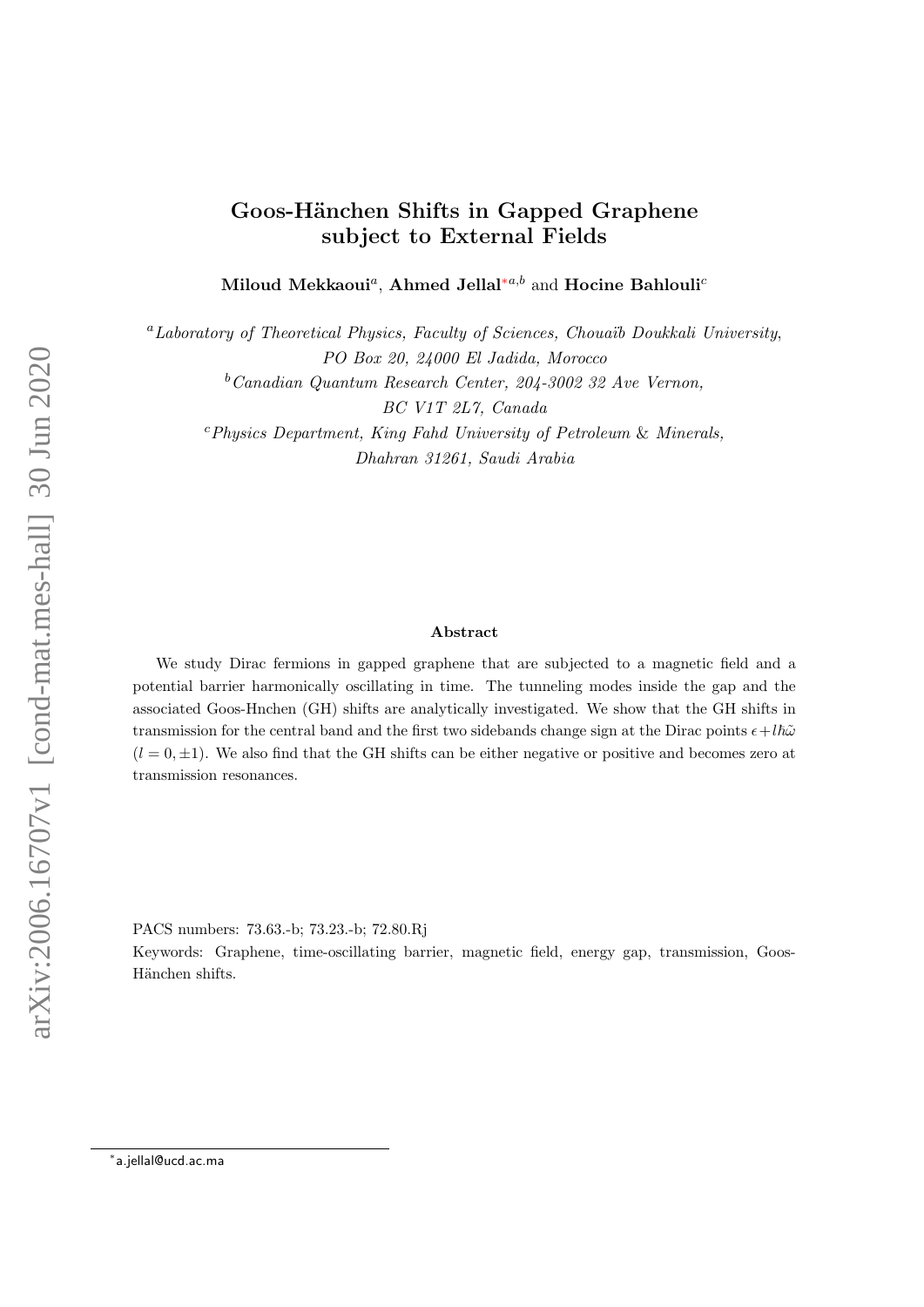# $arXiv:2006.16707v1$  [cond-mat.mes-hall] 30 Jun 2020 arXiv:2006.16707v1 [cond-mat.mes-hall] 30 Jun 2020

# Goos-Hänchen Shifts in Gapped Graphene subject to External Fields

Miloud Mekkaoui<sup>a</sup>, Ahmed Jellal<sup>\*a,b</sup> and Hocine Bahlouli<sup>c</sup>

 ${}^{a}$ Laboratory of Theoretical Physics, Faculty of Sciences, Chouaib Doukkali University, PO Box 20, 24000 El Jadida, Morocco  $b$ Canadian Quantum Research Center, 204-3002 32 Ave Vernon, BC V1T 2L7, Canada  $c$ Physics Department, King Fahd University of Petroleum & Minerals, Dhahran 31261, Saudi Arabia

### Abstract

We study Dirac fermions in gapped graphene that are subjected to a magnetic field and a potential barrier harmonically oscillating in time. The tunneling modes inside the gap and the associated Goos-Hnchen (GH) shifts are analytically investigated. We show that the GH shifts in transmission for the central band and the first two sidebands change sign at the Dirac points  $\epsilon + l\hbar\tilde{\omega}$  $(l = 0, \pm 1)$ . We also find that the GH shifts can be either negative or positive and becomes zero at transmission resonances.

PACS numbers: 73.63.-b; 73.23.-b; 72.80.Rj

Keywords: Graphene, time-oscillating barrier, magnetic field, energy gap, transmission, Goos-Hänchen shifts.

<span id="page-0-0"></span><sup>∗</sup> a.jellal@ucd.ac.ma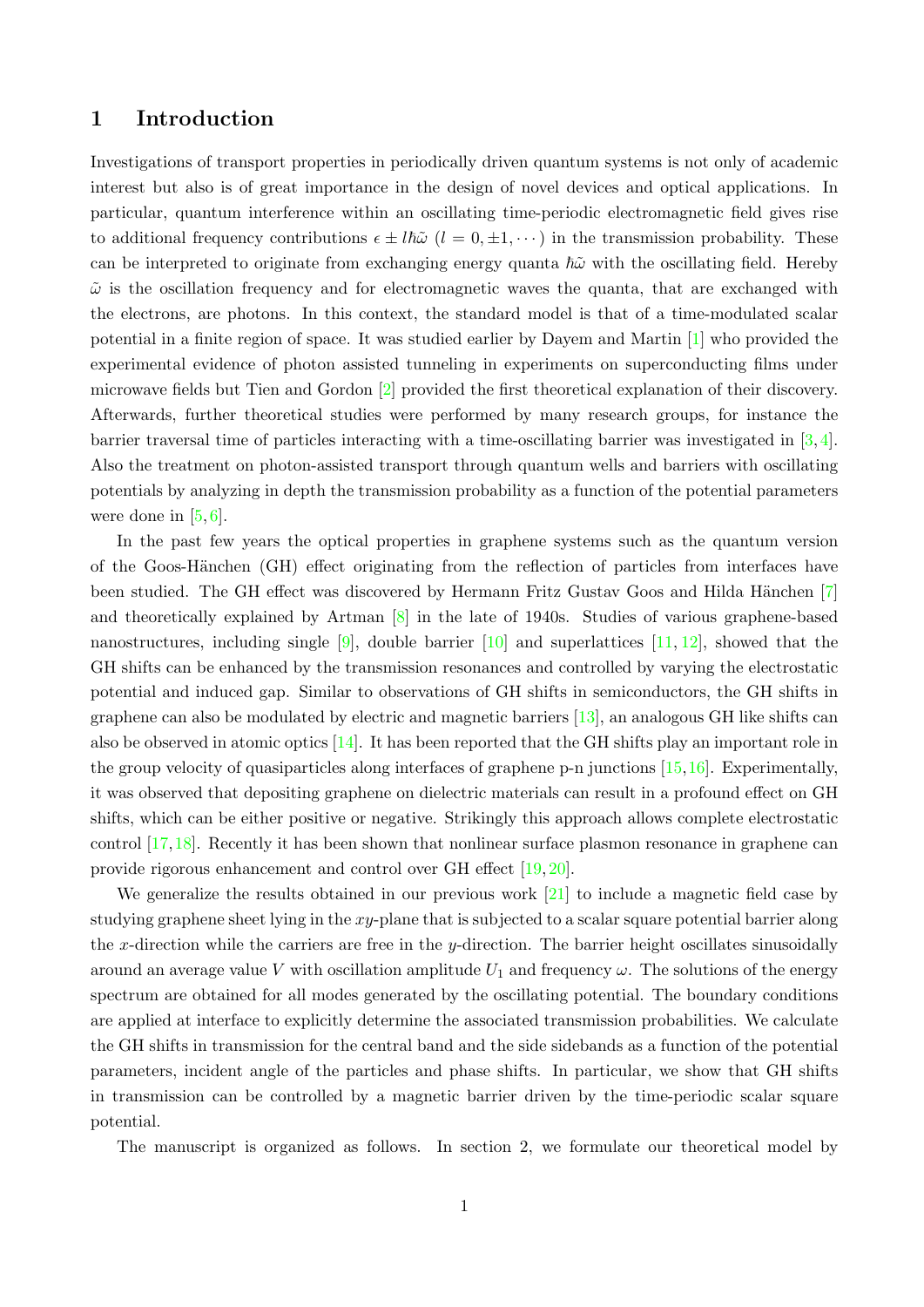## 1 Introduction

Investigations of transport properties in periodically driven quantum systems is not only of academic interest but also is of great importance in the design of novel devices and optical applications. In particular, quantum interference within an oscillating time-periodic electromagnetic field gives rise to additional frequency contributions  $\epsilon \pm l\hbar\tilde{\omega}$  ( $l = 0, \pm 1, \cdots$ ) in the transmission probability. These can be interpreted to originate from exchanging energy quanta  $\hbar\tilde{\omega}$  with the oscillating field. Hereby  $\tilde{\omega}$  is the oscillation frequency and for electromagnetic waves the quanta, that are exchanged with the electrons, are photons. In this context, the standard model is that of a time-modulated scalar potential in a finite region of space. It was studied earlier by Dayem and Martin [\[1\]](#page-14-0) who provided the experimental evidence of photon assisted tunneling in experiments on superconducting films under microwave fields but Tien and Gordon [\[2\]](#page-14-1) provided the first theoretical explanation of their discovery. Afterwards, further theoretical studies were performed by many research groups, for instance the barrier traversal time of particles interacting with a time-oscillating barrier was investigated in [\[3,](#page-14-2) [4\]](#page-14-3). Also the treatment on photon-assisted transport through quantum wells and barriers with oscillating potentials by analyzing in depth the transmission probability as a function of the potential parameters were done in  $[5, 6]$  $[5, 6]$  $[5, 6]$ .

In the past few years the optical properties in graphene systems such as the quantum version of the Goos-Hänchen (GH) effect originating from the reflection of particles from interfaces have been studied. The GH effect was discovered by Hermann Fritz Gustav Goos and Hilda Hänchen [\[7\]](#page-15-0) and theoretically explained by Artman [\[8\]](#page-15-1) in the late of 1940s. Studies of various graphene-based nanostructures, including single  $[9]$ , double barrier  $[10]$  and superlattices  $[11, 12]$  $[11, 12]$  $[11, 12]$ , showed that the GH shifts can be enhanced by the transmission resonances and controlled by varying the electrostatic potential and induced gap. Similar to observations of GH shifts in semiconductors, the GH shifts in graphene can also be modulated by electric and magnetic barriers [\[13\]](#page-15-6), an analogous GH like shifts can also be observed in atomic optics [\[14\]](#page-15-7). It has been reported that the GH shifts play an important role in the group velocity of quasiparticles along interfaces of graphene p-n junctions [\[15,](#page-15-8)[16\]](#page-15-9). Experimentally, it was observed that depositing graphene on dielectric materials can result in a profound effect on GH shifts, which can be either positive or negative. Strikingly this approach allows complete electrostatic control [\[17,](#page-15-10)[18\]](#page-15-11). Recently it has been shown that nonlinear surface plasmon resonance in graphene can provide rigorous enhancement and control over GH effect [\[19,](#page-15-12) [20\]](#page-15-13).

We generalize the results obtained in our previous work  $[21]$  to include a magnetic field case by studying graphene sheet lying in the xy-plane that is subjected to a scalar square potential barrier along the x-direction while the carriers are free in the y-direction. The barrier height oscillates sinusoidally around an average value V with oscillation amplitude  $U_1$  and frequency  $\omega$ . The solutions of the energy spectrum are obtained for all modes generated by the oscillating potential. The boundary conditions are applied at interface to explicitly determine the associated transmission probabilities. We calculate the GH shifts in transmission for the central band and the side sidebands as a function of the potential parameters, incident angle of the particles and phase shifts. In particular, we show that GH shifts in transmission can be controlled by a magnetic barrier driven by the time-periodic scalar square potential.

The manuscript is organized as follows. In section 2, we formulate our theoretical model by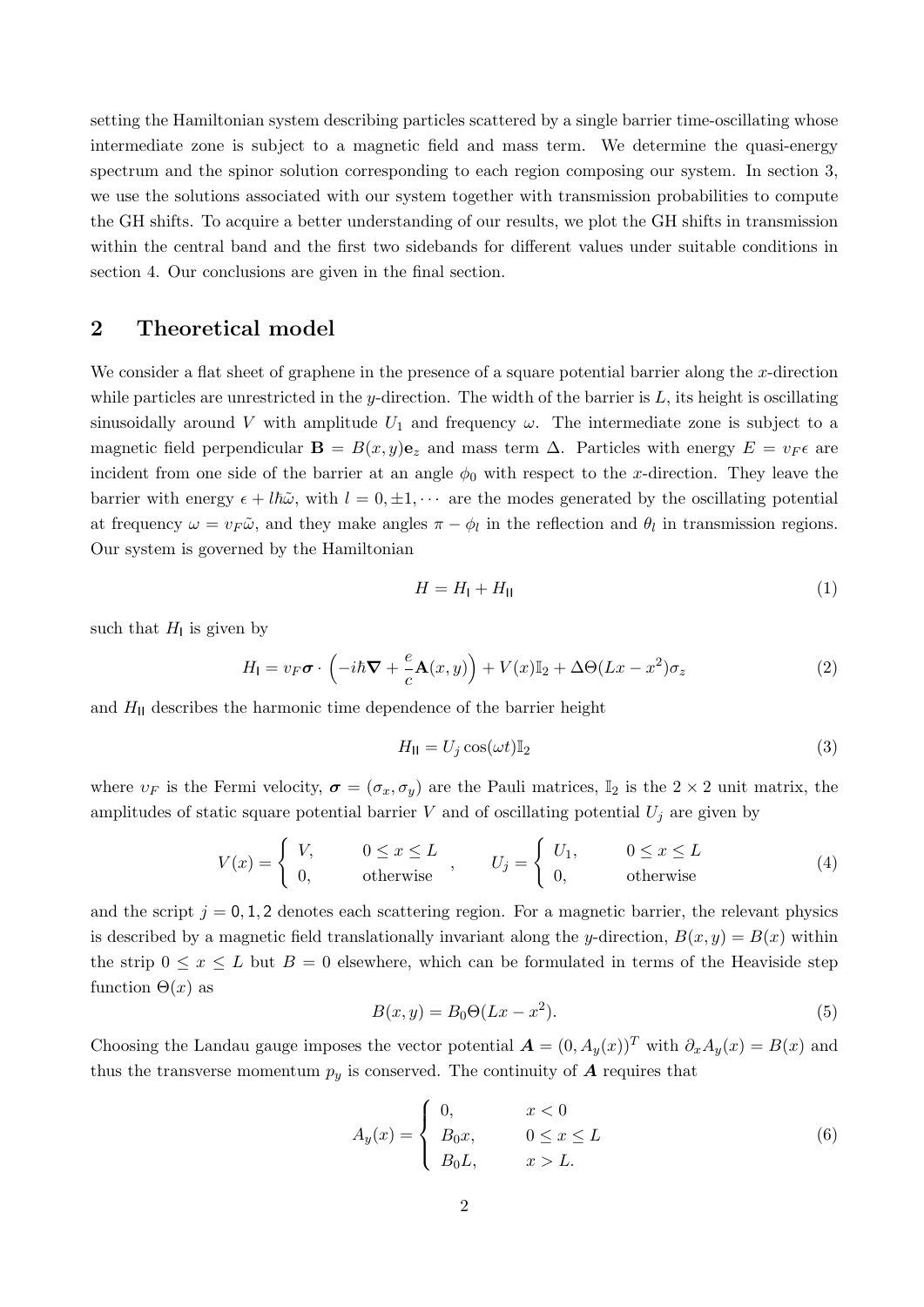setting the Hamiltonian system describing particles scattered by a single barrier time-oscillating whose intermediate zone is subject to a magnetic field and mass term. We determine the quasi-energy spectrum and the spinor solution corresponding to each region composing our system. In section 3, we use the solutions associated with our system together with transmission probabilities to compute the GH shifts. To acquire a better understanding of our results, we plot the GH shifts in transmission within the central band and the first two sidebands for different values under suitable conditions in section 4. Our conclusions are given in the final section.

### 2 Theoretical model

We consider a flat sheet of graphene in the presence of a square potential barrier along the x-direction while particles are unrestricted in the y-direction. The width of the barrier is  $L$ , its height is oscillating sinusoidally around V with amplitude  $U_1$  and frequency  $\omega$ . The intermediate zone is subject to a magnetic field perpendicular  $\mathbf{B} = B(x, y)\mathbf{e}_z$  and mass term  $\Delta$ . Particles with energy  $E = v_F \epsilon$  are incident from one side of the barrier at an angle  $\phi_0$  with respect to the x-direction. They leave the barrier with energy  $\epsilon + l\hbar\tilde{\omega}$ , with  $l = 0, \pm 1, \cdots$  are the modes generated by the oscillating potential at frequency  $\omega = v_F \tilde{\omega}$ , and they make angles  $\pi - \phi_l$  in the reflection and  $\theta_l$  in transmission regions. Our system is governed by the Hamiltonian

<span id="page-2-0"></span>
$$
H = H_{\rm I} + H_{\rm II} \tag{1}
$$

such that  $H<sub>l</sub>$  is given by

$$
H_{\mathsf{I}} = v_F \boldsymbol{\sigma} \cdot \left( -i\hbar \boldsymbol{\nabla} + \frac{e}{c} \mathbf{A}(x, y) \right) + V(x) \mathbb{I}_2 + \Delta \Theta (Lx - x^2) \sigma_z \tag{2}
$$

and  $H<sub>II</sub>$  describes the harmonic time dependence of the barrier height

$$
H_{\rm II} = U_j \cos(\omega t) \mathbb{I}_2 \tag{3}
$$

where  $v_F$  is the Fermi velocity,  $\sigma = (\sigma_x, \sigma_y)$  are the Pauli matrices,  $\mathbb{I}_2$  is the  $2 \times 2$  unit matrix, the amplitudes of static square potential barrier V and of oscillating potential  $U_j$  are given by

$$
V(x) = \begin{cases} V, & 0 \le x \le L \\ 0, & \text{otherwise} \end{cases}, \qquad U_j = \begin{cases} U_1, & 0 \le x \le L \\ 0, & \text{otherwise} \end{cases}
$$
 (4)

and the script  $j = 0, 1, 2$  denotes each scattering region. For a magnetic barrier, the relevant physics is described by a magnetic field translationally invariant along the y-direction,  $B(x, y) = B(x)$  within the strip  $0 \leq x \leq L$  but  $B = 0$  elsewhere, which can be formulated in terms of the Heaviside step function  $\Theta(x)$  as

$$
B(x, y) = B_0 \Theta(Lx - x^2). \tag{5}
$$

Choosing the Landau gauge imposes the vector potential  $\mathbf{A} = (0, A_y(x))^T$  with  $\partial_x A_y(x) = B(x)$  and thus the transverse momentum  $p_y$  is conserved. The continuity of  $\boldsymbol{A}$  requires that

$$
A_y(x) = \begin{cases} 0, & x < 0\\ B_0x, & 0 \le x \le L\\ B_0L, & x > L. \end{cases}
$$
 (6)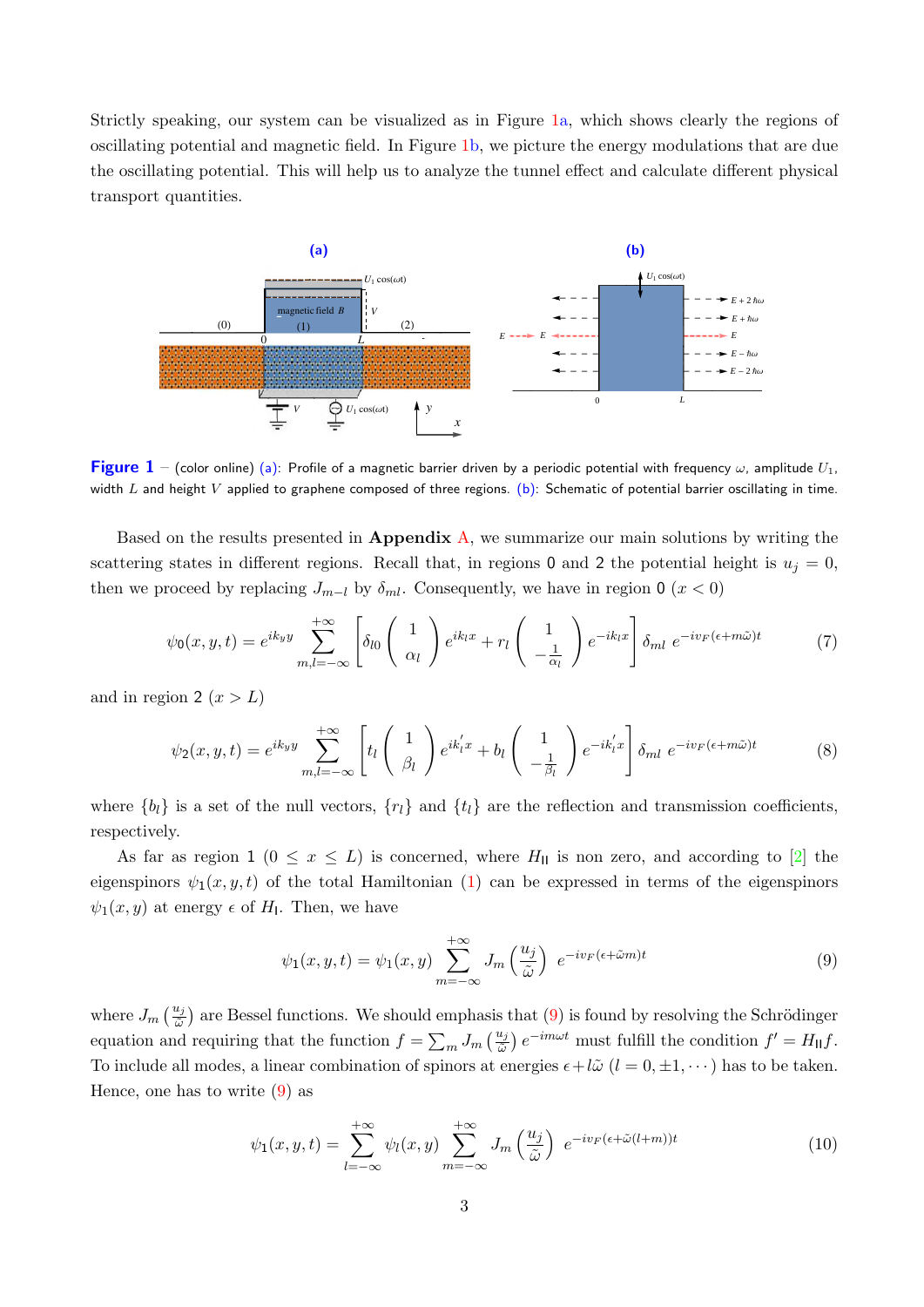Strictly speaking, our system can be visualized as in Figure [1a](#page-3-0), which shows clearly the regions of oscillating potential and magnetic field. In Figure [1b](#page-3-0), we picture the energy modulations that are due the oscillating potential. This will help us to analyze the tunnel effect and calculate different physical transport quantities.

<span id="page-3-0"></span>

**Figure 1** – (color online) (a): Profile of a magnetic barrier driven by a periodic potential with frequency  $\omega$ , amplitude  $U_1$ , width L and height V applied to graphene composed of three regions. (b): Schematic of potential barrier oscillating in time.

Based on the results presented in **Appendix A**, we summarize our main solutions by writing the scattering states in different regions. Recall that, in regions 0 and 2 the potential height is  $u_j = 0$ , then we proceed by replacing  $J_{m-l}$  by  $\delta_{ml}$ . Consequently, we have in region 0 (x < 0)

$$
\psi_0(x, y, t) = e^{ik_y y} \sum_{m,l=-\infty}^{+\infty} \left[ \delta_{l0} \left( \begin{array}{c} 1 \\ \alpha_l \end{array} \right) e^{ik_l x} + r_l \left( \begin{array}{c} 1 \\ -\frac{1}{\alpha_l} \end{array} \right) e^{-ik_l x} \right] \delta_{ml} e^{-iv_F(\epsilon + m\tilde{\omega})t} \tag{7}
$$

and in region 2  $(x > L)$ 

$$
\psi_2(x, y, t) = e^{ik_y y} \sum_{m,l=-\infty}^{+\infty} \left[ t_l \begin{pmatrix} 1 \\ \beta_l \end{pmatrix} e^{ik_l' x} + b_l \begin{pmatrix} 1 \\ -\frac{1}{\beta_l} \end{pmatrix} e^{-ik_l' x} \right] \delta_{ml} e^{-iv_F(\epsilon + m\tilde{\omega})t}
$$
(8)

where  $\{b_l\}$  is a set of the null vectors,  $\{r_l\}$  and  $\{t_l\}$  are the reflection and transmission coefficients, respectively.

As far as region 1 ( $0 \le x \le L$ ) is concerned, where  $H_{\text{II}}$  is non zero, and according to [\[2\]](#page-14-1) the eigenspinors  $\psi_1(x, y, t)$  of the total Hamiltonian [\(1\)](#page-2-0) can be expressed in terms of the eigenspinors  $\psi_1(x, y)$  at energy  $\epsilon$  of  $H_1$ . Then, we have

<span id="page-3-1"></span>
$$
\psi_1(x, y, t) = \psi_1(x, y) \sum_{m = -\infty}^{+\infty} J_m\left(\frac{u_j}{\tilde{\omega}}\right) e^{-i v_F(\epsilon + \tilde{\omega}m)t}
$$
\n(9)

where  $J_m\left(\frac{u_j}{\tilde{\omega}}\right)$  are Bessel functions. We should emphasis that [\(9\)](#page-3-1) is found by resolving the Schrödinger equation and requiring that the function  $f = \sum_m J_m \left(\frac{u_j}{\tilde{\omega}}\right) e^{-im\omega t}$  must fulfill the condition  $f' = H_{\parallel} f$ . To include all modes, a linear combination of spinors at energies  $\epsilon + l\tilde{\omega}$   $(l = 0, \pm 1, \dots)$  has to be taken. Hence, one has to write [\(9\)](#page-3-1) as

$$
\psi_1(x, y, t) = \sum_{l = -\infty}^{+\infty} \psi_l(x, y) \sum_{m = -\infty}^{+\infty} J_m\left(\frac{u_j}{\tilde{\omega}}\right) e^{-i v_F(\epsilon + \tilde{\omega}(l+m))t}
$$
(10)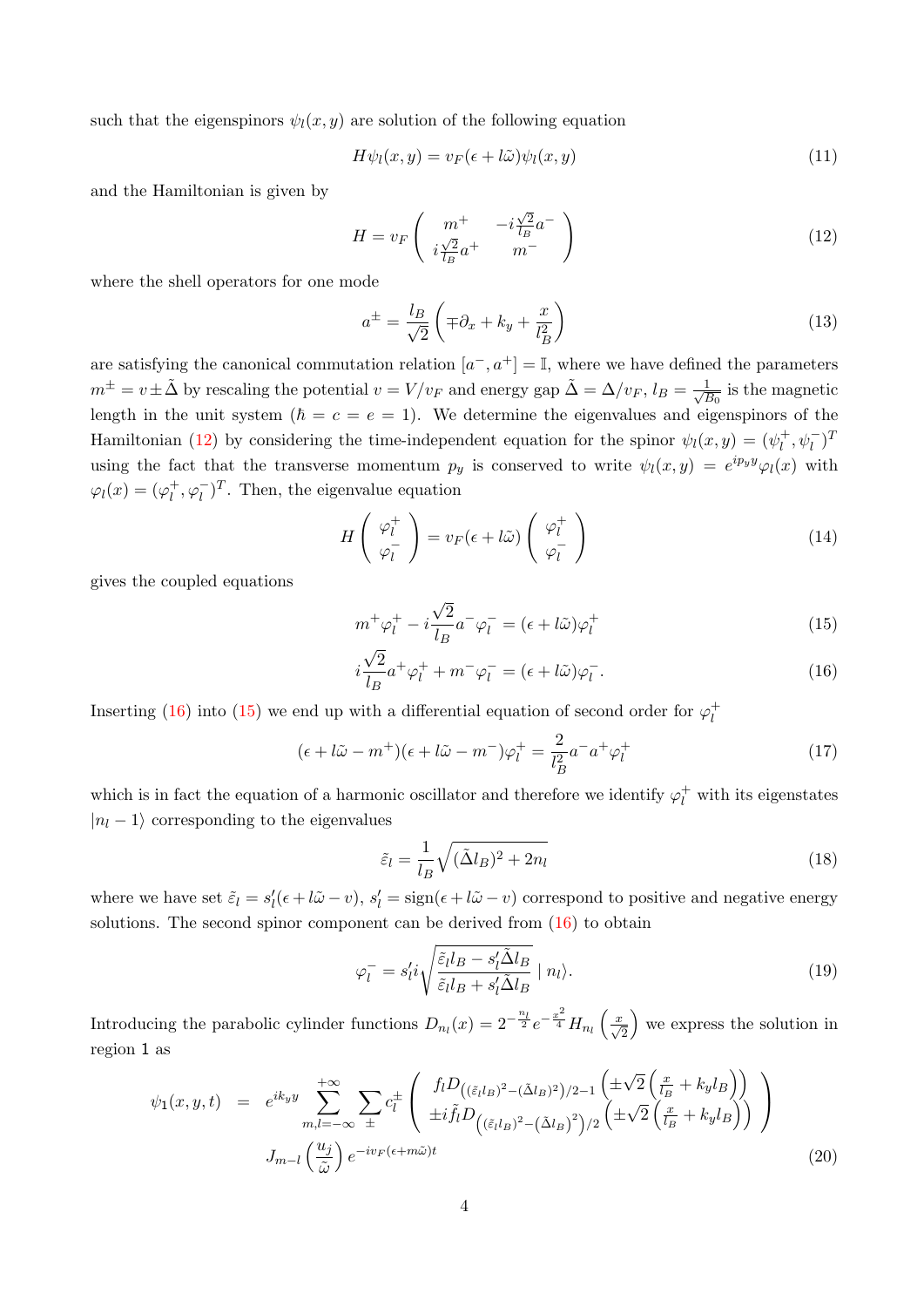such that the eigenspinors  $\psi_l(x, y)$  are solution of the following equation

$$
H\psi_l(x,y) = v_F(\epsilon + l\tilde{\omega})\psi_l(x,y) \tag{11}
$$

and the Hamiltonian is given by

<span id="page-4-0"></span>
$$
H = v_F \left( \begin{array}{cc} m^+ & -i\frac{\sqrt{2}}{l_B}a^- \\ i\frac{\sqrt{2}}{l_B}a^+ & m^- \end{array} \right) \tag{12}
$$

where the shell operators for one mode

$$
a^{\pm} = \frac{l_B}{\sqrt{2}} \left( \mp \partial_x + k_y + \frac{x}{l_B^2} \right) \tag{13}
$$

are satisfying the canonical commutation relation  $[a^-, a^+] = \mathbb{I}$ , where we have defined the parameters  $m^{\pm} = v \pm \tilde{\Delta}$  by rescaling the potential  $v = V/v_F$  and energy gap  $\tilde{\Delta} = \Delta/v_F$ ,  $l_B = \frac{1}{\sqrt{2}}$  $\frac{1}{\overline{B_0}}$  is the magnetic length in the unit system ( $\hbar = c = e = 1$ ). We determine the eigenvalues and eigenspinors of the Hamiltonian [\(12\)](#page-4-0) by considering the time-independent equation for the spinor  $\psi_l(x,y) = (\psi_l^+$  $\psi_l^+, \psi_l^-)^T$ using the fact that the transverse momentum  $p_y$  is conserved to write  $\psi_l(x,y) = e^{i p_y y} \varphi_l(x)$  with  $\varphi_l(x) = (\varphi_l^+$  $\mu^+$ ,  $\varphi_l^-$ <sup>T</sup>. Then, the eigenvalue equation

$$
H\left(\begin{array}{c}\varphi_l^+\\\varphi_l^-\end{array}\right)=v_F(\epsilon+l\tilde{\omega})\left(\begin{array}{c}\varphi_l^+\\\varphi_l^-\end{array}\right)
$$
(14)

gives the coupled equations

<span id="page-4-1"></span>
$$
m^{+}\varphi_{l}^{+} - i\frac{\sqrt{2}}{l_{B}}a^{-}\varphi_{l}^{-} = (\epsilon + l\tilde{\omega})\varphi_{l}^{+}
$$
\n
$$
\overline{\varphi}_{l} \tag{15}
$$

$$
i\frac{\sqrt{2}}{l_B}a^+\varphi_l^+ + m^-\varphi_l^- = (\epsilon + l\tilde{\omega})\varphi_l^-.
$$
\n(16)

Inserting [\(16\)](#page-4-1) into [\(15\)](#page-4-1) we end up with a differential equation of second order for  $\varphi_l^+$ l

$$
(\epsilon + l\tilde{\omega} - m^+) (\epsilon + l\tilde{\omega} - m^-) \varphi_l^+ = \frac{2}{l_B^2} a^- a^+ \varphi_l^+ \tag{17}
$$

which is in fact the equation of a harmonic oscillator and therefore we identify  $\varphi_l^+$  with its eigenstates  $|n_l - 1\rangle$  corresponding to the eigenvalues

<span id="page-4-2"></span>
$$
\tilde{\varepsilon}_l = \frac{1}{l_B} \sqrt{(\tilde{\Delta}l_B)^2 + 2n_l} \tag{18}
$$

where we have set  $\tilde{\varepsilon}_l = s'_l(\epsilon + l\tilde{\omega} - v), s'_l = \text{sign}(\epsilon + l\tilde{\omega} - v)$  correspond to positive and negative energy solutions. The second spinor component can be derived from  $(16)$  to obtain

$$
\varphi_l^- = s_l' i \sqrt{\frac{\tilde{\varepsilon}_l l_B - s_l' \tilde{\Delta} l_B}{\tilde{\varepsilon}_l l_B + s_l' \tilde{\Delta} l_B}} \mid n_l \rangle.
$$
\n(19)

Introducing the parabolic cylinder functions  $D_{n_l}(x) = 2^{-\frac{n_l}{2}} e^{-\frac{x^2}{4}} H_{n_l}\left(\frac{x}{\sqrt{2}}\right)$  we express the solution in region 1 as

$$
\psi_1(x, y, t) = e^{ik_y y} \sum_{m,l=-\infty}^{+\infty} \sum_{\pm} c_l^{\pm} \left( \frac{f_l D_{((\tilde{\varepsilon}_l l_B)^2 - (\tilde{\Delta}l_B)^2)/2 - 1} \left( \pm \sqrt{2} \left( \frac{x}{l_B} + k_y l_B \right) \right)}{\pm i \tilde{f}_l D_{((\tilde{\varepsilon}_l l_B)^2 - (\tilde{\Delta}l_B)^2)/2} \left( \pm \sqrt{2} \left( \frac{x}{l_B} + k_y l_B \right) \right)} \right)
$$
  

$$
J_{m-l} \left( \frac{u_j}{\tilde{\omega}} \right) e^{-i v_F (\epsilon + m \tilde{\omega}) t} \tag{20}
$$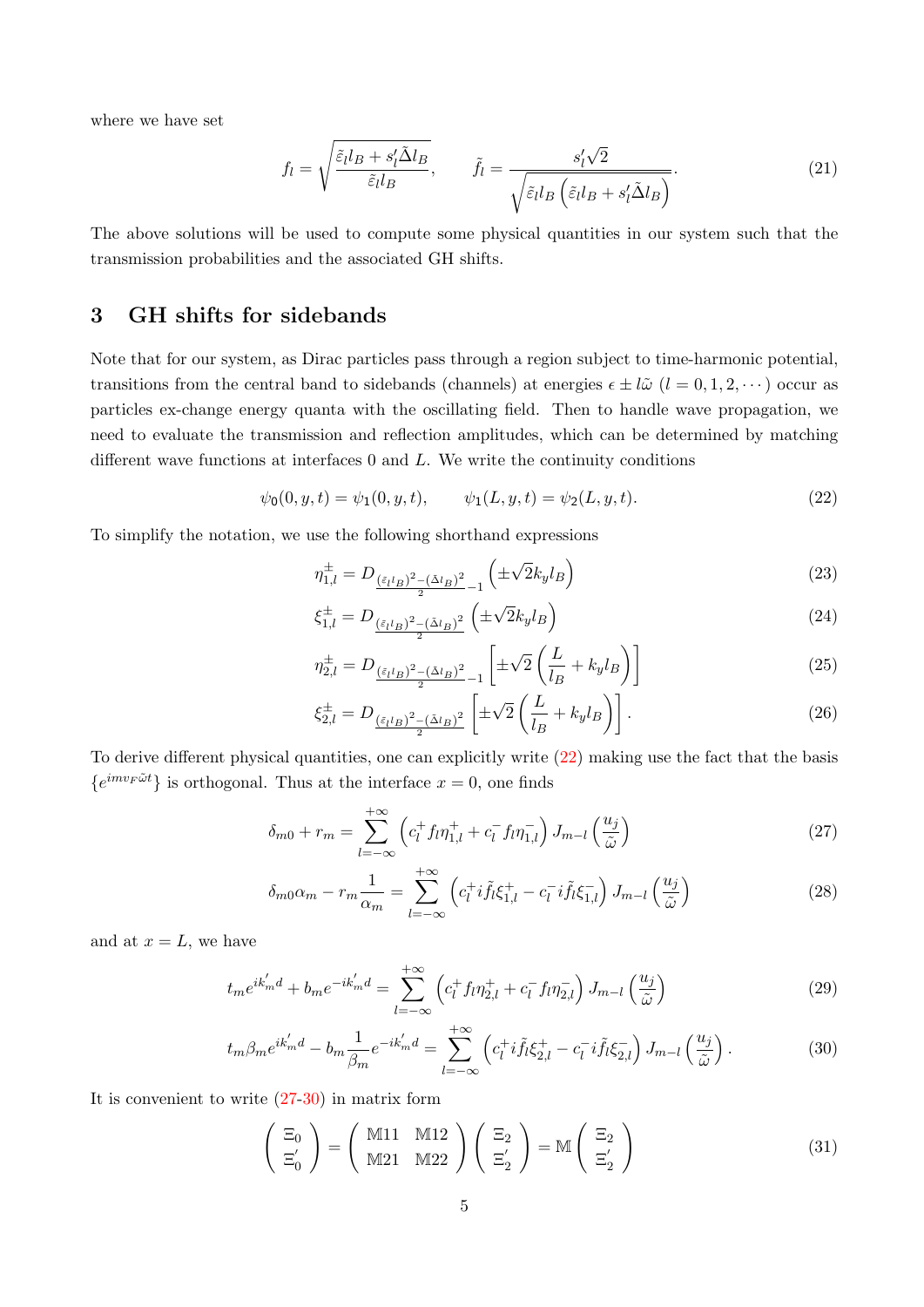where we have set

$$
f_l = \sqrt{\frac{\tilde{\varepsilon}_l l_B + s_l' \tilde{\Delta} l_B}{\tilde{\varepsilon}_l l_B}}, \qquad \tilde{f}_l = \frac{s_l' \sqrt{2}}{\sqrt{\tilde{\varepsilon}_l l_B \left(\tilde{\varepsilon}_l l_B + s_l' \tilde{\Delta} l_B\right)}}.
$$
(21)

The above solutions will be used to compute some physical quantities in our system such that the transmission probabilities and the associated GH shifts.

# 3 GH shifts for sidebands

Note that for our system, as Dirac particles pass through a region subject to time-harmonic potential, transitions from the central band to sidebands (channels) at energies  $\epsilon \pm l\tilde{\omega}$   $(l = 0, 1, 2, \cdots)$  occur as particles ex-change energy quanta with the oscillating field. Then to handle wave propagation, we need to evaluate the transmission and reflection amplitudes, which can be determined by matching different wave functions at interfaces  $0$  and  $L$ . We write the continuity conditions

<span id="page-5-0"></span>
$$
\psi_0(0, y, t) = \psi_1(0, y, t), \qquad \psi_1(L, y, t) = \psi_2(L, y, t). \tag{22}
$$

To simplify the notation, we use the following shorthand expressions

$$
\eta_{1,l}^{\pm} = D_{\frac{(\tilde{\varepsilon}_l l_B)^2 - (\tilde{\Delta}l_B)^2}{2} - 1} \left( \pm \sqrt{2} k_y l_B \right)
$$
\n(23)

$$
\xi_{1,l}^{\pm} = D_{\frac{(\tilde{\varepsilon}_l l_B)^2 - (\tilde{\Delta}l_B)^2}{2}} \left( \pm \sqrt{2} k_y l_B \right) \tag{24}
$$

$$
\eta_{2,l}^{\pm} = D_{\frac{(\tilde{\varepsilon}_l l_B)^2 - (\tilde{\Delta}l_B)^2}{2} - 1} \left[ \pm \sqrt{2} \left( \frac{L}{l_B} + k_y l_B \right) \right]
$$
(25)

$$
\xi_{2,l}^{\pm} = D_{\frac{\left(\tilde{\varepsilon}_{l}l_{B}\right)^{2} - \left(\tilde{\Delta}l_{B}\right)^{2}}{2}} \left[\pm\sqrt{2}\left(\frac{L}{l_{B}} + k_{y}l_{B}\right)\right].
$$
\n(26)

To derive different physical quantities, one can explicitly write [\(22\)](#page-5-0) making use the fact that the basis  $\{e^{imv_F\tilde{\omega}t}\}\$ is orthogonal. Thus at the interface  $x=0$ , one finds

<span id="page-5-1"></span>
$$
\delta_{m0} + r_m = \sum_{l=-\infty}^{+\infty} \left( c_l^+ f_l \eta_{1,l}^+ + c_l^- f_l \eta_{1,l}^- \right) J_{m-l} \left( \frac{u_j}{\tilde{\omega}} \right) \tag{27}
$$

$$
\delta_{m0}\alpha_m - r_m \frac{1}{\alpha_m} = \sum_{l=-\infty}^{+\infty} \left( c_l^+ i \tilde{f}_l \xi_{1,l}^+ - c_l^- i \tilde{f}_l \xi_{1,l}^- \right) J_{m-l} \left( \frac{u_j}{\tilde{\omega}} \right)
$$
(28)

and at  $x = L$ , we have

<span id="page-5-2"></span>
$$
t_m e^{ik'_m d} + b_m e^{-ik'_m d} = \sum_{l=-\infty}^{+\infty} \left( c_l^+ f_l \eta_{2,l}^+ + c_l^- f_l \eta_{2,l}^- \right) J_{m-l} \left( \frac{u_j}{\tilde{\omega}} \right)
$$
(29)

$$
t_m \beta_m e^{ik'_m d} - b_m \frac{1}{\beta_m} e^{-ik'_m d} = \sum_{l=-\infty}^{+\infty} \left( c_l^+ i \tilde{f}_l \xi_{2,l}^+ - c_l^- i \tilde{f}_l \xi_{2,l}^- \right) J_{m-l} \left( \frac{u_j}{\tilde{\omega}} \right). \tag{30}
$$

It is convenient to write  $(27-30)$  $(27-30)$  in matrix form

$$
\begin{pmatrix} \Xi_0 \\ \Xi'_0 \end{pmatrix} = \begin{pmatrix} \mathbb{M}11 & \mathbb{M}12 \\ \mathbb{M}21 & \mathbb{M}22 \end{pmatrix} \begin{pmatrix} \Xi_2 \\ \Xi'_2 \end{pmatrix} = \mathbb{M} \begin{pmatrix} \Xi_2 \\ \Xi'_2 \end{pmatrix}
$$
(31)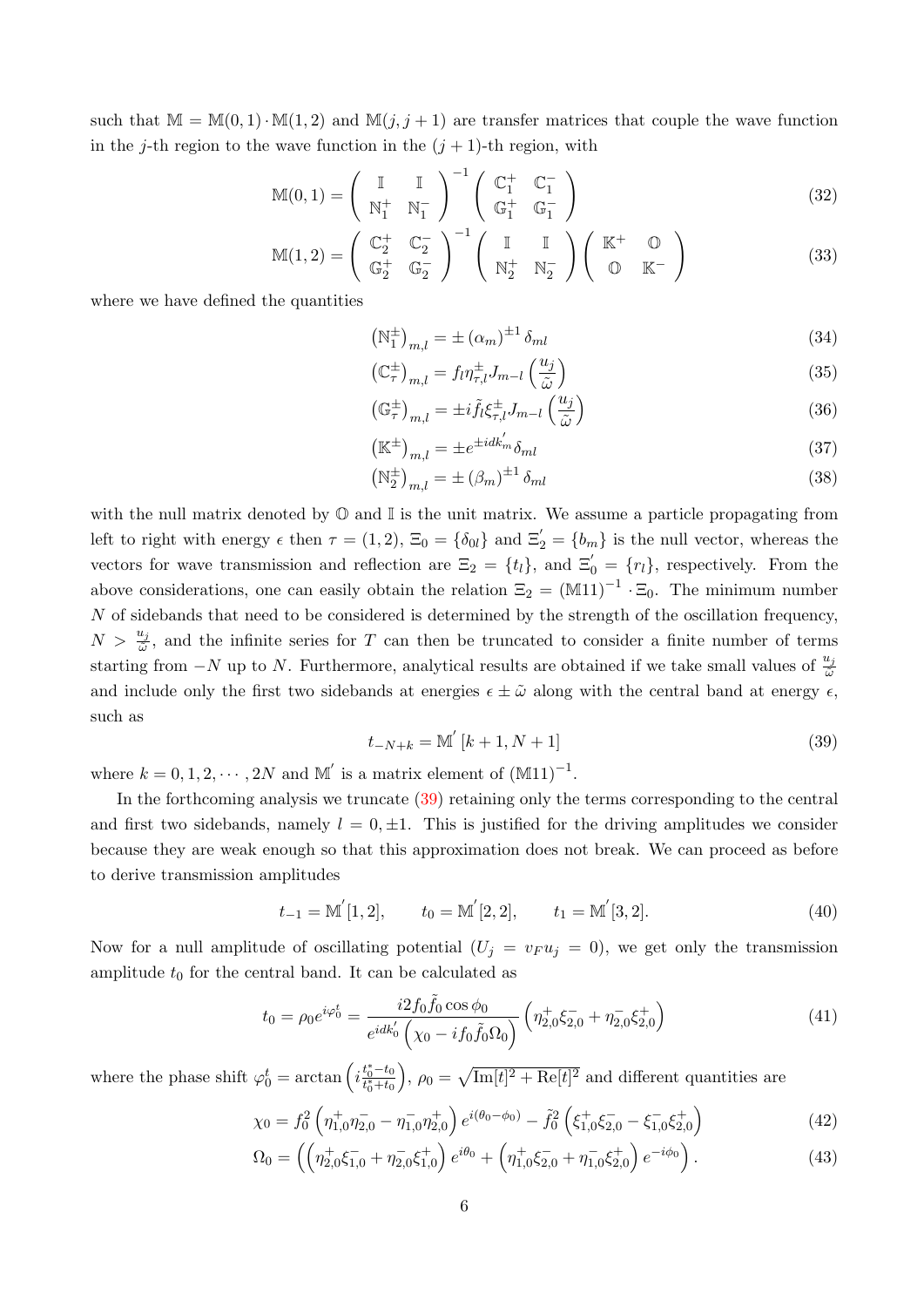such that  $\mathbb{M} = \mathbb{M}(0, 1) \cdot \mathbb{M}(1, 2)$  and  $\mathbb{M}(j, j + 1)$  are transfer matrices that couple the wave function in the j-th region to the wave function in the  $(j + 1)$ -th region, with

$$
\mathbb{M}(0,1) = \begin{pmatrix} \mathbb{I} & \mathbb{I} \\ \mathbb{N}_1^+ & \mathbb{N}_1^- \end{pmatrix}^{-1} \begin{pmatrix} \mathbb{C}_1^+ & \mathbb{C}_1^- \\ \mathbb{G}_1^+ & \mathbb{G}_1^- \end{pmatrix}
$$
(32)

$$
\mathbb{M}(1,2) = \begin{pmatrix} \mathbb{C}_2^+ & \mathbb{C}_2^- \\ \mathbb{G}_2^+ & \mathbb{G}_2^- \end{pmatrix}^{-1} \begin{pmatrix} \mathbb{I} & \mathbb{I} \\ \mathbb{N}_2^+ & \mathbb{N}_2^- \end{pmatrix} \begin{pmatrix} \mathbb{K}^+ & \mathbb{O} \\ \mathbb{O} & \mathbb{K}^- \end{pmatrix}
$$
(33)

where we have defined the quantities

$$
\left(\mathbb{N}_1^{\pm}\right)_{m,l} = \pm \left(\alpha_m\right)^{\pm 1} \delta_{ml} \tag{34}
$$

$$
\left(\mathbb{C}_{\tau}^{\pm}\right)_{m,l} = f_l \eta_{\tau,l}^{\pm} J_{m-l} \left(\frac{u_j}{\tilde{\omega}}\right) \tag{35}
$$

$$
\left(\mathbb{G}_{\tau}^{\pm}\right)_{m,l} = \pm i \tilde{f}_l \xi_{\tau,l}^{\pm} J_{m-l} \left(\frac{u_j}{\tilde{\omega}}\right)
$$
\n(36)

$$
\left(\mathbb{K}^{\pm}\right)_{m,l} = \pm e^{\pm idk'_m} \delta_{ml} \tag{37}
$$

$$
\left(\mathbb{N}_2^{\pm}\right)_{m,l} = \pm \left(\beta_m\right)^{\pm 1} \delta_{ml} \tag{38}
$$

with the null matrix denoted by  $\mathbb O$  and  $\mathbb I$  is the unit matrix. We assume a particle propagating from left to right with energy  $\epsilon$  then  $\tau = (1, 2)$ ,  $\Xi_0 = \{\delta_{0l}\}\$ and  $\Xi'_2 = \{b_m\}$  is the null vector, whereas the vectors for wave transmission and reflection are  $\Xi_2 = \{t_l\}$ , and  $\Xi_0' = \{r_l\}$ , respectively. From the above considerations, one can easily obtain the relation  $\Xi_2 = (\mathbb{M}11)^{-1} \cdot \Xi_0$ . The minimum number  $N$  of sidebands that need to be considered is determined by the strength of the oscillation frequency,  $N > \frac{u_j}{\tilde{\omega}}$ , and the infinite series for T can then be truncated to consider a finite number of terms starting from  $-N$  up to N. Furthermore, analytical results are obtained if we take small values of  $\frac{u_j}{\tilde{\omega}}$ and include only the first two sidebands at energies  $\epsilon \pm \tilde{\omega}$  along with the central band at energy  $\epsilon$ , such as

<span id="page-6-0"></span>
$$
t_{-N+k} = \mathbb{M}'\left[k+1, N+1\right] \tag{39}
$$

where  $k = 0, 1, 2, \cdots, 2N$  and  $\mathbb{M}'$  is a matrix element of  $(\mathbb{M}11)^{-1}$ .

In the forthcoming analysis we truncate [\(39\)](#page-6-0) retaining only the terms corresponding to the central and first two sidebands, namely  $l = 0, \pm 1$ . This is justified for the driving amplitudes we consider because they are weak enough so that this approximation does not break. We can proceed as before to derive transmission amplitudes

$$
t_{-1} = M'[1, 2],
$$
  $t_0 = M'[2, 2],$   $t_1 = M'[3, 2].$  (40)

Now for a null amplitude of oscillating potential  $(U_j = v_F u_j = 0)$ , we get only the transmission amplitude  $t_0$  for the central band. It can be calculated as

$$
t_0 = \rho_0 e^{i\varphi_0^t} = \frac{i2f_0 \tilde{f}_0 \cos \phi_0}{e^{idk_0'} (\chi_0 - if_0 \tilde{f}_0 \Omega_0)} \left( \eta_{2,0}^+ \xi_{2,0}^- + \eta_{2,0}^- \xi_{2,0}^+ \right)
$$
(41)

where the phase shift  $\varphi_0^t = \arctan\left(i\frac{t_0^* - t_0}{t_0^* + t_0}\right)$ ),  $\rho_0 = \sqrt{\text{Im}[t]^2 + \text{Re}[t]^2}$  and different quantities are

$$
\chi_0 = f_0^2 \left( \eta_{1,0}^+ \eta_{2,0}^- - \eta_{1,0}^- \eta_{2,0}^+ \right) e^{i(\theta_0 - \phi_0)} - \tilde{f}_0^2 \left( \xi_{1,0}^+ \xi_{2,0}^- - \xi_{1,0}^- \xi_{2,0}^+ \right) \tag{42}
$$

$$
\Omega_0 = \left( \left( \eta_{2,0}^+ \xi_{1,0}^- + \eta_{2,0}^- \xi_{1,0}^+ \right) e^{i\theta_0} + \left( \eta_{1,0}^+ \xi_{2,0}^- + \eta_{1,0}^- \xi_{2,0}^+ \right) e^{-i\phi_0} \right). \tag{43}
$$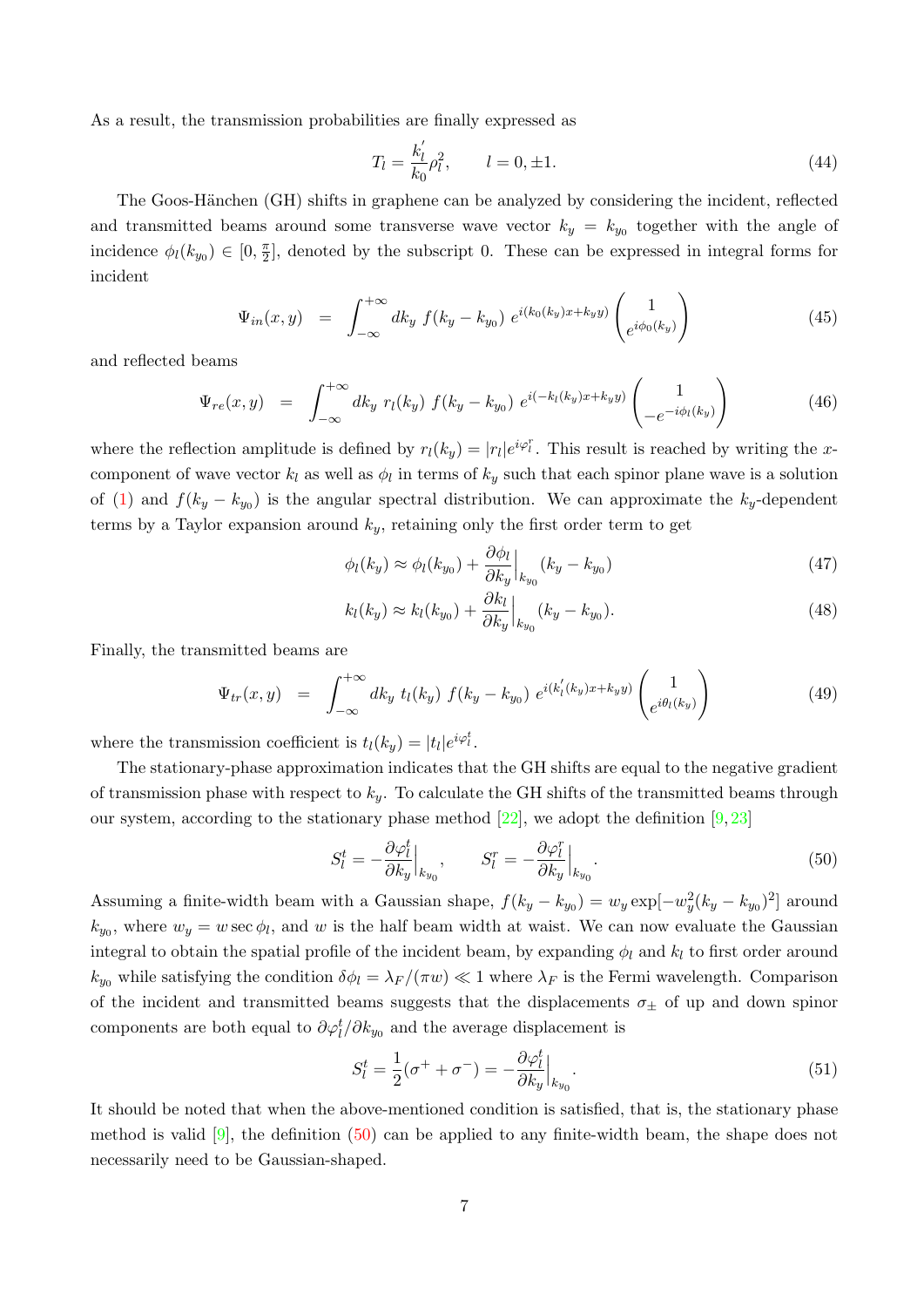As a result, the transmission probabilities are finally expressed as

$$
T_l = \frac{k'_l}{k_0} \rho_l^2, \qquad l = 0, \pm 1. \tag{44}
$$

The Goos-Hänchen (GH) shifts in graphene can be analyzed by considering the incident, reflected and transmitted beams around some transverse wave vector  $k_y = k_{y_0}$  together with the angle of incidence  $\phi_l(k_{y_0}) \in [0, \frac{\pi}{2}]$  $\frac{\pi}{2}$ , denoted by the subscript 0. These can be expressed in integral forms for incident

$$
\Psi_{in}(x, y) = \int_{-\infty}^{+\infty} dk_y \ f(k_y - k_{y_0}) \ e^{i(k_0(k_y)x + k_yy)} \begin{pmatrix} 1 \\ e^{i\phi_0(k_y)} \end{pmatrix}
$$
\n(45)

and reflected beams

$$
\Psi_{re}(x,y) = \int_{-\infty}^{+\infty} dk_y \ r_l(k_y) \ f(k_y - k_{y_0}) \ e^{i(-k_l(k_y)x + k_yy)} \begin{pmatrix} 1 \\ -e^{-i\phi_l(k_y)} \end{pmatrix} \tag{46}
$$

where the reflection amplitude is defined by  $r_l(k_y) = |r_l|e^{i\varphi_l^r}$ . This result is reached by writing the xcomponent of wave vector  $k_l$  as well as  $\phi_l$  in terms of  $k_y$  such that each spinor plane wave is a solution of [\(1\)](#page-2-0) and  $f(k_y - k_{y_0})$  is the angular spectral distribution. We can approximate the  $k_y$ -dependent terms by a Taylor expansion around  $k_y$ , retaining only the first order term to get

$$
\phi_l(k_y) \approx \phi_l(k_{y_0}) + \frac{\partial \phi_l}{\partial k_y}\Big|_{k_{y_0}} (k_y - k_{y_0})
$$
\n(47)

$$
k_l(k_y) \approx k_l(k_{y_0}) + \frac{\partial k_l}{\partial k_y}\Big|_{k_{y_0}} (k_y - k_{y_0}).
$$
\n(48)

Finally, the transmitted beams are

$$
\Psi_{tr}(x,y) = \int_{-\infty}^{+\infty} dk_y \ t_l(k_y) \ f(k_y - k_{y_0}) \ e^{i(k'_l(k_y)x + k_yy)} \begin{pmatrix} 1 \\ e^{i\theta_l(k_y)} \end{pmatrix} \tag{49}
$$

where the transmission coefficient is  $t_l(k_y) = |t_l|e^{i\varphi_t^t}$ .

The stationary-phase approximation indicates that the GH shifts are equal to the negative gradient of transmission phase with respect to  $k_y$ . To calculate the GH shifts of the transmitted beams through our system, according to the stationary phase method [\[22\]](#page-15-15), we adopt the definition  $[9, 23]$  $[9, 23]$  $[9, 23]$ 

<span id="page-7-0"></span>
$$
S_l^t = -\frac{\partial \varphi_l^t}{\partial k_y}\Big|_{k_{y_0}}, \qquad S_l^r = -\frac{\partial \varphi_l^r}{\partial k_y}\Big|_{k_{y_0}}.\tag{50}
$$

Assuming a finite-width beam with a Gaussian shape,  $f(k_y - k_{y_0}) = w_y \exp[-w_y^2(k_y - k_{y_0})^2]$  around  $k_{y_0}$ , where  $w_y = w \sec \phi_l$ , and w is the half beam width at waist. We can now evaluate the Gaussian integral to obtain the spatial profile of the incident beam, by expanding  $\phi_l$  and  $k_l$  to first order around  $k_{y_0}$  while satisfying the condition  $\delta \phi_l = \lambda_F / (\pi w) \ll 1$  where  $\lambda_F$  is the Fermi wavelength. Comparison of the incident and transmitted beams suggests that the displacements  $\sigma_{\pm}$  of up and down spinor components are both equal to  $\partial \varphi_l^t / \partial k_{y_0}$  and the average displacement is

$$
S_l^t = \frac{1}{2}(\sigma^+ + \sigma^-) = -\frac{\partial \varphi_l^t}{\partial k_y}\Big|_{k_{y_0}}.\tag{51}
$$

It should be noted that when the above-mentioned condition is satisfied, that is, the stationary phase method is valid [\[9\]](#page-15-2), the definition [\(50\)](#page-7-0) can be applied to any finite-width beam, the shape does not necessarily need to be Gaussian-shaped.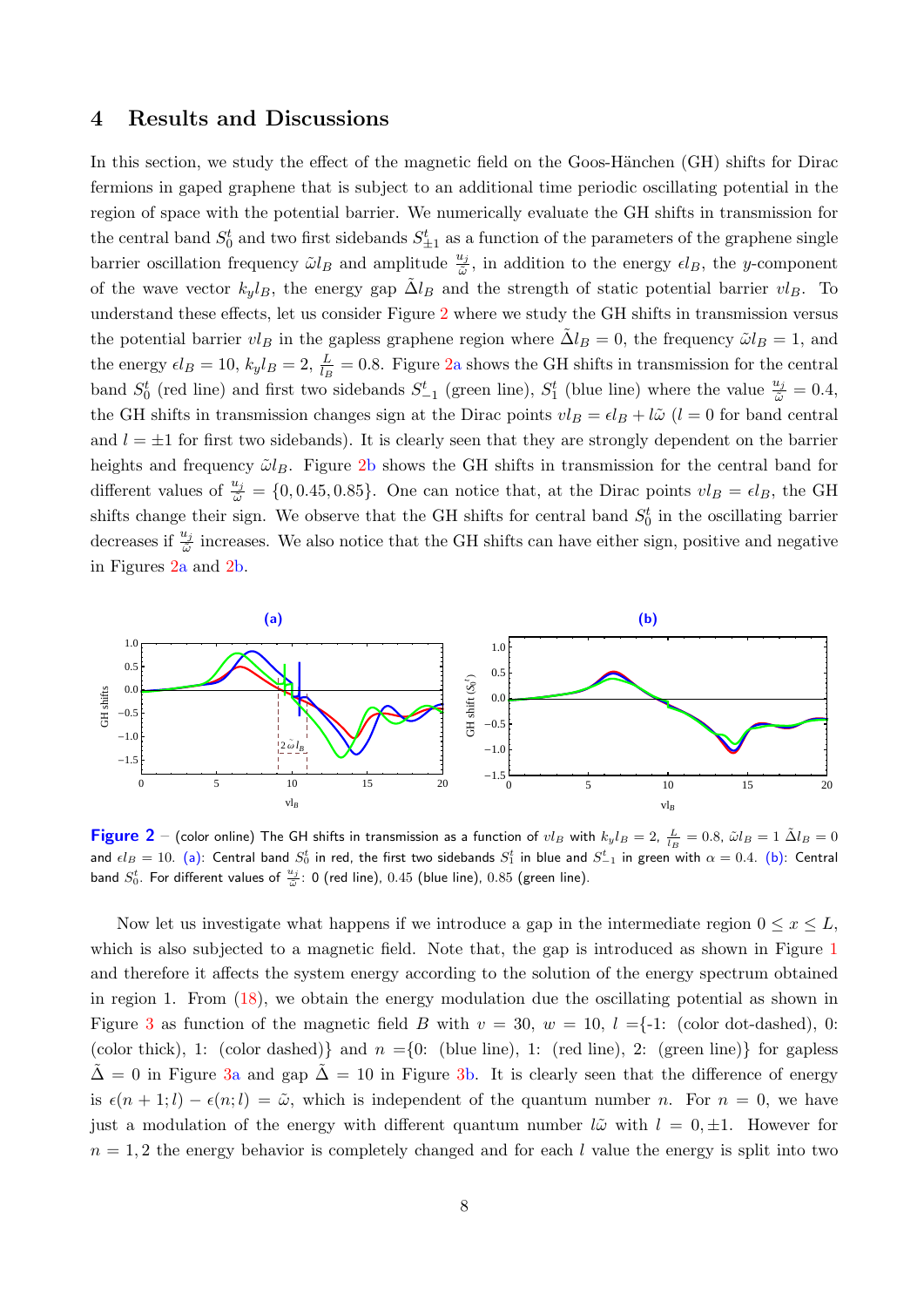## 4 Results and Discussions

In this section, we study the effect of the magnetic field on the Goos-Hänchen (GH) shifts for Dirac fermions in gaped graphene that is subject to an additional time periodic oscillating potential in the region of space with the potential barrier. We numerically evaluate the GH shifts in transmission for the central band  $S_0^t$  and two first sidebands  $S_{\pm 1}^t$  as a function of the parameters of the graphene single barrier oscillation frequency  $\tilde{\omega}l_B$  and amplitude  $\frac{u_j}{\tilde{\omega}}$ , in addition to the energy  $\epsilon l_B$ , the y-component of the wave vector  $k_y l_B$ , the energy gap  $\Delta l_B$  and the strength of static potential barrier  $vl_B$ . To understand these effects, let us consider Figure [2](#page-8-0) where we study the GH shifts in transmission versus the potential barrier  $vl_B$  in the gapless graphene region where  $\Delta l_B = 0$ , the frequency  $\tilde{\omega} l_B = 1$ , and the energy  $\epsilon l_B = 10$ ,  $k_y l_B = 2$ ,  $\frac{L}{l_B} = 0.8$ . Figure [2a](#page-8-0) shows the GH shifts in transmission for the central band  $S_0^t$  (red line) and first two sidebands  $S_{-1}^t$  (green line),  $S_1^t$  (blue line) where the value  $\frac{u_j}{\tilde{\omega}} = 0.4$ , the GH shifts in transmission changes sign at the Dirac points  $vl_B = el_B + l\tilde{\omega}$  (l = 0 for band central and  $l = \pm 1$  for first two sidebands). It is clearly seen that they are strongly dependent on the barrier heights and frequency  $\tilde{\omega}l_B$ . Figure [2b](#page-8-0) shows the GH shifts in transmission for the central band for different values of  $\frac{u_j}{\tilde{\omega}} = \{0, 0.45, 0.85\}$ . One can notice that, at the Dirac points  $vl_B = \epsilon l_B$ , the GH shifts change their sign. We observe that the GH shifts for central band  $S_0^t$  in the oscillating barrier decreases if  $\frac{u_j}{\tilde{\omega}}$  increases. We also notice that the GH shifts can have either sign, positive and negative in Figures [2a](#page-8-0) and [2b](#page-8-0).

<span id="page-8-0"></span>

**Figure 2** – (color online) The GH shifts in transmission as a function of  $vl_B$  with  $k_yl_B=2$ ,  $\frac{L}{l_B}=0.8$ ,  $\tilde{\omega}l_B=1$   $\tilde{\Delta}l_B=0$ and  $\epsilon l_B=10.$  (a): Central band  $S_0^t$  in red, the first two sidebands  $S_1^t$  in blue and  $S_{-1}^t$  in green with  $\alpha=0.4.$  (b): Central band  $S_0^t$ . For different values of  $\frac{u_j}{\tilde{\omega}}$ : 0 (red line), 0.45 (blue line), 0.85 (green line).

Now let us investigate what happens if we introduce a gap in the intermediate region  $0 \leq x \leq L$ , which is also subjected to a magnetic field. Note that, the gap is introduced as shown in Figure [1](#page-3-0) and therefore it affects the system energy according to the solution of the energy spectrum obtained in region 1. From [\(18\)](#page-4-2), we obtain the energy modulation due the oscillating potential as shown in Figure [3](#page-9-0) as function of the magnetic field B with  $v = 30$ ,  $w = 10$ ,  $l = -1$ : (color dot-dashed), 0: (color thick), 1: (color dashed) and  $n = \{0:$  (blue line), 1: (red line), 2: (green line) for gapless  $\tilde{\Delta} = 0$  in Figure [3a](#page-9-0) and gap  $\tilde{\Delta} = 10$  in Figure [3b](#page-9-0). It is clearly seen that the difference of energy is  $\epsilon(n + 1; l) - \epsilon(n; l) = \tilde{\omega}$ , which is independent of the quantum number n. For  $n = 0$ , we have just a modulation of the energy with different quantum number  $l\tilde{\omega}$  with  $l = 0, \pm 1$ . However for  $n = 1, 2$  the energy behavior is completely changed and for each l value the energy is split into two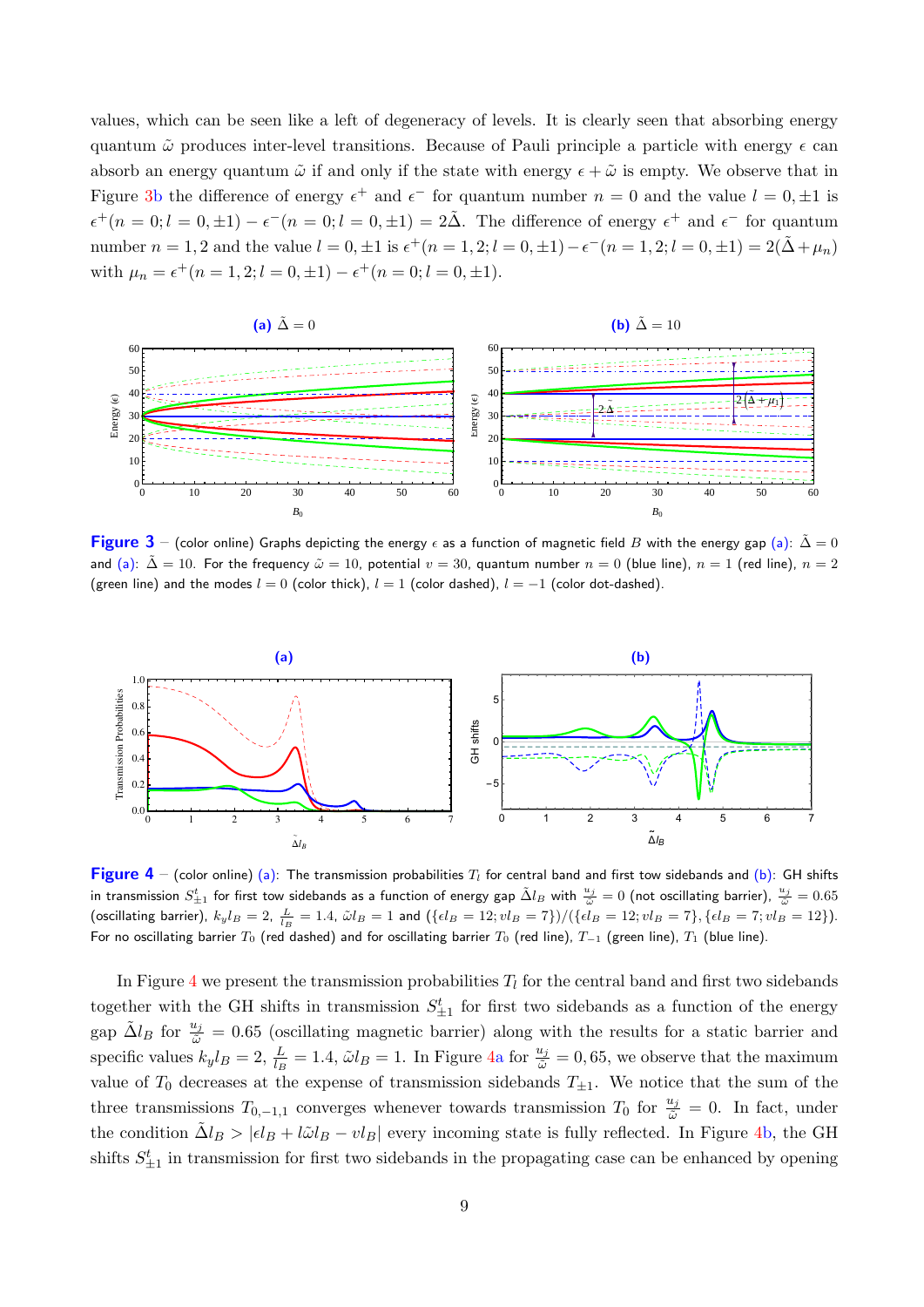values, which can be seen like a left of degeneracy of levels. It is clearly seen that absorbing energy quantum  $\tilde{\omega}$  produces inter-level transitions. Because of Pauli principle a particle with energy  $\epsilon$  can absorb an energy quantum  $\tilde{\omega}$  if and only if the state with energy  $\epsilon + \tilde{\omega}$  is empty. We observe that in Figure [3b](#page-9-0) the difference of energy  $\epsilon^+$  and  $\epsilon^-$  for quantum number  $n = 0$  and the value  $l = 0, \pm 1$  is  $\epsilon^+(n=0; l=0,\pm 1) - \epsilon^-(n=0; l=0,\pm 1) = 2\tilde{\Delta}$ . The difference of energy  $\epsilon^+$  and  $\epsilon^-$  for quantum number  $n = 1, 2$  and the value  $l = 0, \pm 1$  is  $\epsilon^+(n = 1, 2; l = 0, \pm 1) - \epsilon^-(n = 1, 2; l = 0, \pm 1) = 2(\tilde{\Delta} + \mu_n)$ with  $\mu_n = \epsilon^+(n = 1, 2; l = 0, \pm 1) - \epsilon^+(n = 0; l = 0, \pm 1).$ 

<span id="page-9-0"></span>

Figure 3 – (color online) Graphs depicting the energy  $\epsilon$  as a function of magnetic field B with the energy gap (a):  $\tilde{\Delta} = 0$ and (a):  $\tilde{\Delta} = 10$ . For the frequency  $\tilde{\omega} = 10$ , potential  $v = 30$ , quantum number  $n = 0$  (blue line),  $n = 1$  (red line),  $n = 2$ (green line) and the modes  $l = 0$  (color thick),  $l = 1$  (color dashed),  $l = -1$  (color dot-dashed).

<span id="page-9-1"></span>

**Figure 4** – (color online) (a): The transmission probabilities  $T_l$  for central band and first tow sidebands and (b): GH shifts in transmission  $S_{\pm1}^t$  for first tow sidebands as a function of energy gap  $\tilde\Delta l_B$  with  $\frac{u_j}{\tilde\omega}=0$  (not oscillating barrier),  $\frac{u_j}{\tilde\omega}=0.65$ (oscillating barrier),  $k_y l_B = 2$ ,  $\frac{L}{l_B} = 1.4$ ,  $\tilde{\omega} l_B = 1$  and  $(\{\epsilon l_B = 12; v l_B = 7\})/(\{\epsilon l_B = 12; v l_B = 7\}, \{\epsilon l_B = 7; v l_B = 12\})$ . For no oscillating barrier  $T_0$  (red dashed) and for oscillating barrier  $T_0$  (red line),  $T_{-1}$  (green line),  $T_1$  (blue line).

In Figure [4](#page-9-1) we present the transmission probabilities  $T_l$  for the central band and first two sidebands together with the GH shifts in transmission  $S_{\pm 1}^t$  for first two sidebands as a function of the energy gap  $\tilde{\Delta}l_B$  for  $\frac{u_j}{\tilde{\omega}} = 0.65$  (oscillating magnetic barrier) along with the results for a static barrier and specific values  $k_y l_B = 2$ ,  $\frac{L}{l_B} = 1.4$ ,  $\tilde{\omega} l_B = 1$ . In Figure [4a](#page-9-1) for  $\frac{u_j}{\tilde{\omega}} = 0.65$ , we observe that the maximum value of  $T_0$  decreases at the expense of transmission sidebands  $T_{\pm 1}$ . We notice that the sum of the three transmissions  $T_{0,-1,1}$  converges whenever towards transmission  $T_0$  for  $\frac{u_j}{\tilde{\omega}}=0$ . In fact, under the condition  $\tilde{\Delta}l_B > |\epsilon l_B + l\tilde{\omega}l_B - vl_B|$  every incoming state is fully reflected. In Figure [4b](#page-9-1), the GH shifts  $S_{\pm 1}^t$  in transmission for first two sidebands in the propagating case can be enhanced by opening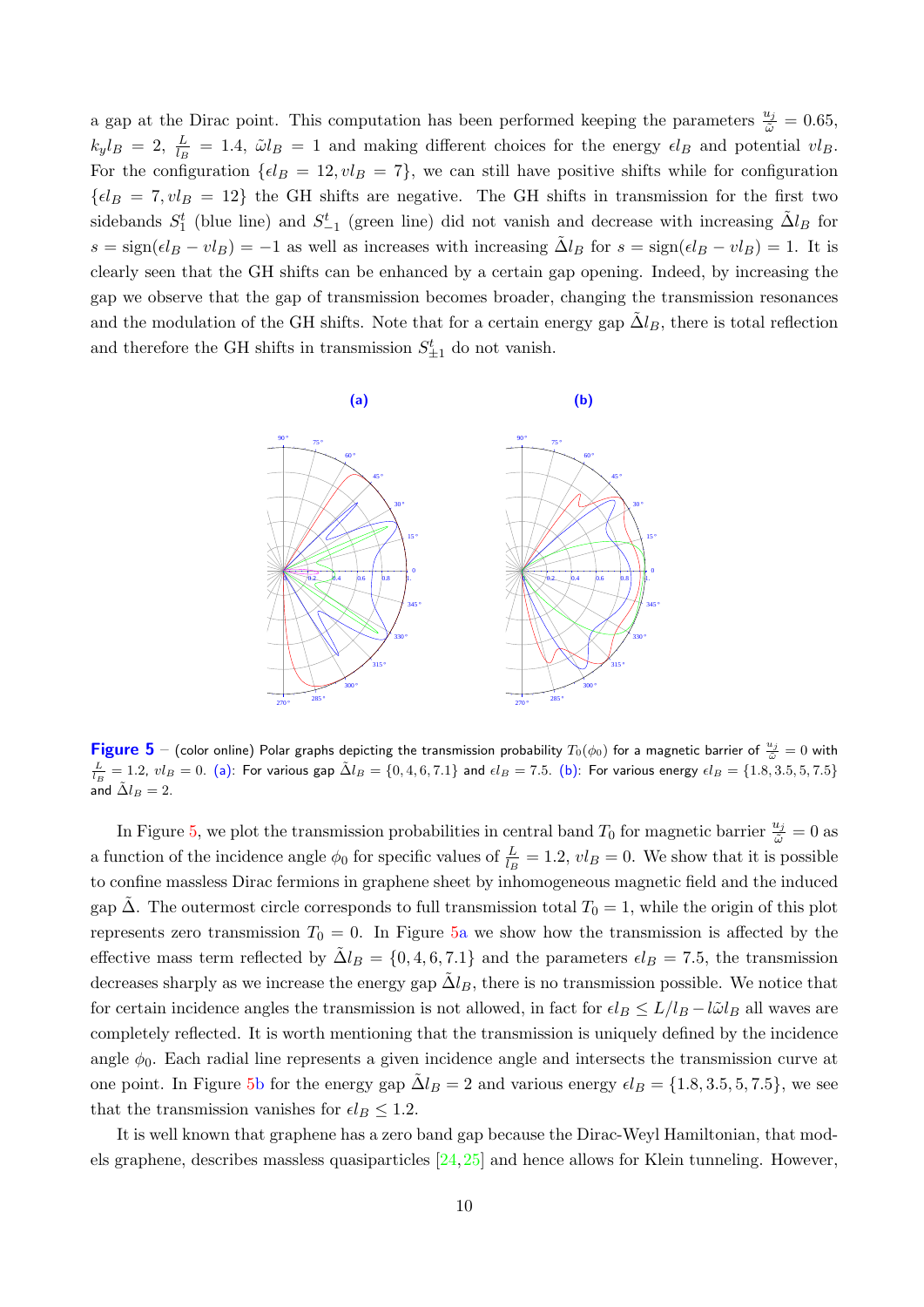a gap at the Dirac point. This computation has been performed keeping the parameters  $\frac{u_j}{\tilde{\omega}} = 0.65$ ,  $k_y l_B = 2$ ,  $\frac{L}{l_B} = 1.4$ ,  $\tilde{\omega} l_B = 1$  and making different choices for the energy  $\epsilon l_B$  and potential  $vl_B$ . For the configuration  $\{ \epsilon l_B = 12, v l_B = 7 \}$ , we can still have positive shifts while for configuration  ${el_B = 7, vl_B = 12}$  the GH shifts are negative. The GH shifts in transmission for the first two sidebands  $S_1^t$  (blue line) and  $S_{-1}^t$  (green line) did not vanish and decrease with increasing  $\tilde{\Delta}l_B$  for  $s = sign(\epsilon l_B - v l_B) = -1$  as well as increases with increasing  $\tilde{\Delta}l_B$  for  $s = sign(\epsilon l_B - v l_B) = 1$ . It is clearly seen that the GH shifts can be enhanced by a certain gap opening. Indeed, by increasing the gap we observe that the gap of transmission becomes broader, changing the transmission resonances and the modulation of the GH shifts. Note that for a certain energy gap  $\Delta l_B$ , there is total reflection and therefore the GH shifts in transmission  $S_{\pm 1}^{t}$  do not vanish.

<span id="page-10-0"></span>

**Figure 5** – (color online) Polar graphs depicting the transmission probability  $T_0(\phi_0)$  for a magnetic barrier of  $\frac{u_j}{\tilde{\omega}}=0$  with  $\frac{L}{L_B} = 1.2$ ,  $vl_B = 0$ . (a): For various gap  $\tilde{\Delta}l_B = \{0, 4, 6, 7.1\}$  and  $\epsilon l_B = 7.5$ . (b): For various energy  $\epsilon l_B = \{1.8, 3.5, 5, 7.5\}$ and  $\tilde{\Delta} l_B = 2$ .

In Figure [5,](#page-10-0) we plot the transmission probabilities in central band  $T_0$  for magnetic barrier  $\frac{u_j}{\tilde{\omega}} = 0$  as a function of the incidence angle  $\phi_0$  for specific values of  $\frac{L}{l_B} = 1.2$ ,  $vl_B = 0$ . We show that it is possible to confine massless Dirac fermions in graphene sheet by inhomogeneous magnetic field and the induced gap  $\Delta$ . The outermost circle corresponds to full transmission total  $T_0 = 1$ , while the origin of this plot represents zero transmission  $T_0 = 0$ . In Figure [5a](#page-10-0) we show how the transmission is affected by the effective mass term reflected by  $\tilde{\Delta}l_B = \{0, 4, 6, 7.1\}$  and the parameters  $\epsilon l_B = 7.5$ , the transmission decreases sharply as we increase the energy gap  $\tilde{\Delta}l_B$ , there is no transmission possible. We notice that for certain incidence angles the transmission is not allowed, in fact for  $\epsilon l_B \le L/l_B - l\tilde{\omega}l_B$  all waves are completely reflected. It is worth mentioning that the transmission is uniquely defined by the incidence angle  $\phi_0$ . Each radial line represents a given incidence angle and intersects the transmission curve at one point. In Figure [5b](#page-10-0) for the energy gap  $\Delta l_B = 2$  and various energy  $\epsilon l_B = \{1.8, 3.5, 5, 7.5\}$ , we see that the transmission vanishes for  $\epsilon l_B \leq 1.2$ .

It is well known that graphene has a zero band gap because the Dirac-Weyl Hamiltonian, that models graphene, describes massless quasiparticles [\[24,](#page-15-17)[25\]](#page-15-18) and hence allows for Klein tunneling. However,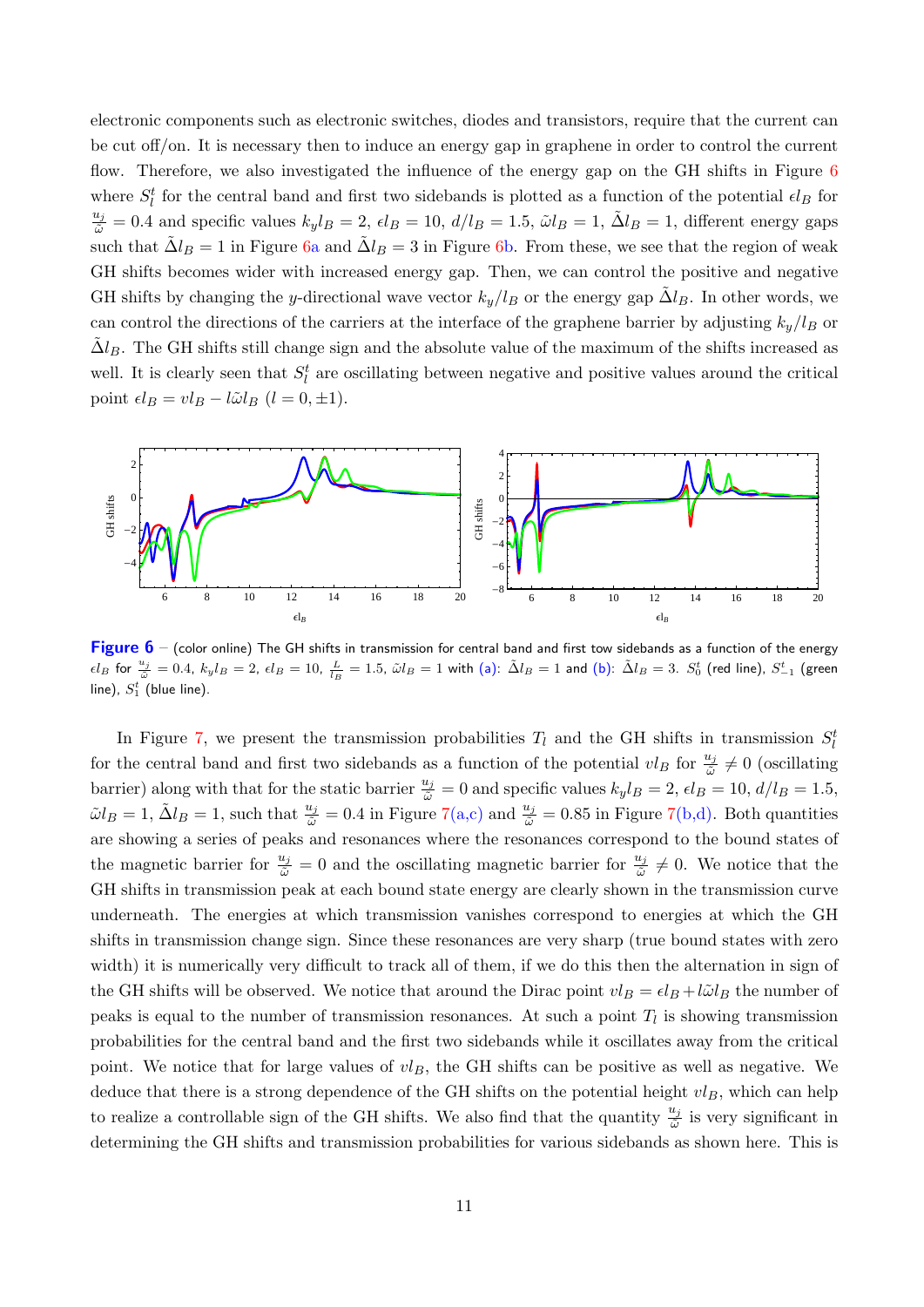electronic components such as electronic switches, diodes and transistors, require that the current can be cut off/on. It is necessary then to induce an energy gap in graphene in order to control the current flow. Therefore, we also investigated the influence of the energy gap on the GH shifts in Figure [6](#page-11-0) where  $S_l^t$  for the central band and first two sidebands is plotted as a function of the potential  $\epsilon l_B$  for  $\frac{u_j}{\tilde{\omega}} = 0.4$  and specific values  $k_y l_B = 2$ ,  $\epsilon l_B = 10$ ,  $d/l_B = 1.5$ ,  $\tilde{\omega} l_B = 1$ ,  $\tilde{\Delta} l_B = 1$ , different energy gaps such that  $\tilde{\Delta}l_B = 1$  in Figure [6a](#page-11-0) and  $\tilde{\Delta}l_B = 3$  in Figure [6b](#page-11-0). From these, we see that the region of weak GH shifts becomes wider with increased energy gap. Then, we can control the positive and negative GH shifts by changing the y-directional wave vector  $k_y/l_B$  or the energy gap  $\tilde{\Delta}l_B$ . In other words, we can control the directions of the carriers at the interface of the graphene barrier by adjusting  $k_y/l_B$  or  $\Delta l_B$ . The GH shifts still change sign and the absolute value of the maximum of the shifts increased as well. It is clearly seen that  $S_l^t$  are oscillating between negative and positive values around the critical point  $\epsilon l_B = v l_B - l \tilde{\omega} l_B$   $(l = 0, \pm 1).$ 

<span id="page-11-0"></span>

Figure  $6$  – (color online) The GH shifts in transmission for central band and first tow sidebands as a function of the energy  $\epsilon l_B$  for  $\frac{u_j}{\tilde{\omega}} = 0.4$ ,  $k_y l_B = 2$ ,  $\epsilon l_B = 10$ ,  $\frac{L}{l_B} = 1.5$ ,  $\tilde{\omega} l_B = 1$  with (a):  $\tilde{\Delta} l_B = 1$  and (b):  $\tilde{\Delta} l_B = 3$ .  $S_0^t$  (red line),  $S_{-1}^t$  (green line),  $S_1^t$  (blue line).

In Figure [7,](#page-12-0) we present the transmission probabilities  $T_l$  and the GH shifts in transmission  $S_l^t$ for the central band and first two sidebands as a function of the potential  $vl_B$  for  $\frac{u_j}{\tilde{\omega}}\neq 0$  (oscillating barrier) along with that for the static barrier  $\frac{u_j}{\tilde{\omega}} = 0$  and specific values  $k_y l_B = 2$ ,  $\epsilon l_B = 10$ ,  $d/l_B = 1.5$ ,  $\tilde{\omega} l_B = 1$ ,  $\tilde{\Delta} l_B = 1$ , such that  $\frac{u_j}{\tilde{\omega}} = 0.4$  in Figure [7\(](#page-12-0)a,c) and  $\frac{u_j}{\tilde{\omega}} = 0.85$  in Figure 7(b,d). Both quantities are showing a series of peaks and resonances where the resonances correspond to the bound states of the magnetic barrier for  $\frac{u_j}{\tilde{\omega}} = 0$  and the oscillating magnetic barrier for  $\frac{u_j}{\tilde{\omega}} \neq 0$ . We notice that the GH shifts in transmission peak at each bound state energy are clearly shown in the transmission curve underneath. The energies at which transmission vanishes correspond to energies at which the GH shifts in transmission change sign. Since these resonances are very sharp (true bound states with zero width) it is numerically very difficult to track all of them, if we do this then the alternation in sign of the GH shifts will be observed. We notice that around the Dirac point  $vl_B = el_B + l\tilde{\omega}l_B$  the number of peaks is equal to the number of transmission resonances. At such a point  $T_l$  is showing transmission probabilities for the central band and the first two sidebands while it oscillates away from the critical point. We notice that for large values of  $vl_B$ , the GH shifts can be positive as well as negative. We deduce that there is a strong dependence of the GH shifts on the potential height  $vl_B$ , which can help to realize a controllable sign of the GH shifts. We also find that the quantity  $\frac{u_j}{\tilde{\omega}}$  is very significant in determining the GH shifts and transmission probabilities for various sidebands as shown here. This is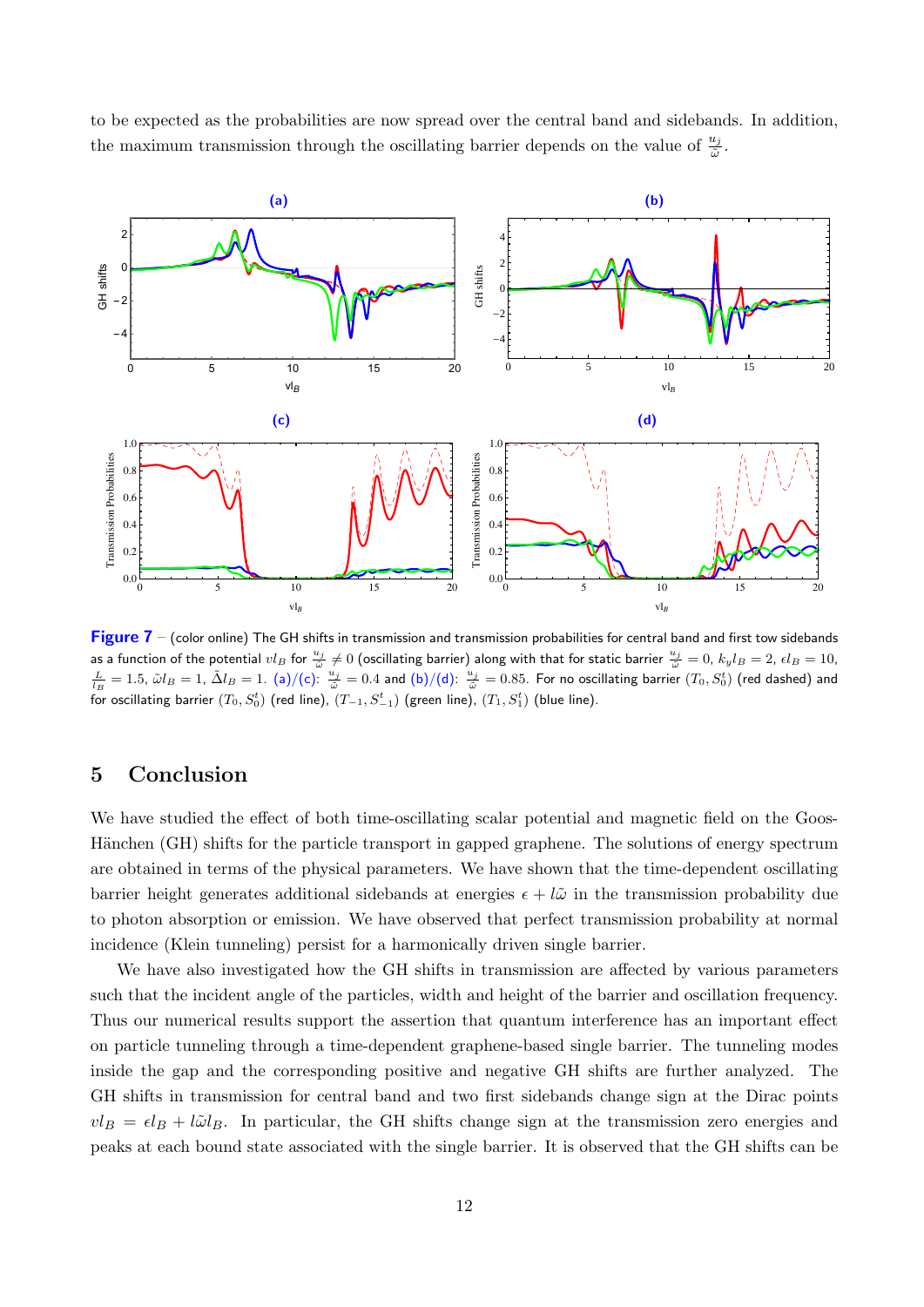<span id="page-12-0"></span>

to be expected as the probabilities are now spread over the central band and sidebands. In addition, the maximum transmission through the oscillating barrier depends on the value of  $\frac{u_j}{\tilde{\omega}}$ .

Figure  $7$  – (color online) The GH shifts in transmission and transmission probabilities for central band and first tow sidebands as a function of the potential  $vl_B$  for  $\frac{u_j}{\tilde{\omega}} \neq 0$  (oscillating barrier) along with that for static barrier  $\frac{u_j}{\tilde{\omega}} = 0$ ,  $k_y l_B = 2$ ,  $\epsilon l_B = 10$ ,  $\frac{L}{l_B} = 1.5$ ,  $\tilde{\omega}l_B = 1$ ,  $\tilde{\Delta}l_B = 1$ . (a)/(c):  $\frac{u_j$ for oscillating barrier  $(T_0, S_0^t)$  (red line),  $(T_{-1}, S_{-1}^t)$  (green line),  $(T_1, S_1^t)$  (blue line).

# 5 Conclusion

We have studied the effect of both time-oscillating scalar potential and magnetic field on the Goos-Hänchen (GH) shifts for the particle transport in gapped graphene. The solutions of energy spectrum are obtained in terms of the physical parameters. We have shown that the time-dependent oscillating barrier height generates additional sidebands at energies  $\epsilon + l\tilde{\omega}$  in the transmission probability due to photon absorption or emission. We have observed that perfect transmission probability at normal incidence (Klein tunneling) persist for a harmonically driven single barrier.

We have also investigated how the GH shifts in transmission are affected by various parameters such that the incident angle of the particles, width and height of the barrier and oscillation frequency. Thus our numerical results support the assertion that quantum interference has an important effect on particle tunneling through a time-dependent graphene-based single barrier. The tunneling modes inside the gap and the corresponding positive and negative GH shifts are further analyzed. The GH shifts in transmission for central band and two first sidebands change sign at the Dirac points  $vl_B = \epsilon l_B + l\tilde{\omega}l_B$ . In particular, the GH shifts change sign at the transmission zero energies and peaks at each bound state associated with the single barrier. It is observed that the GH shifts can be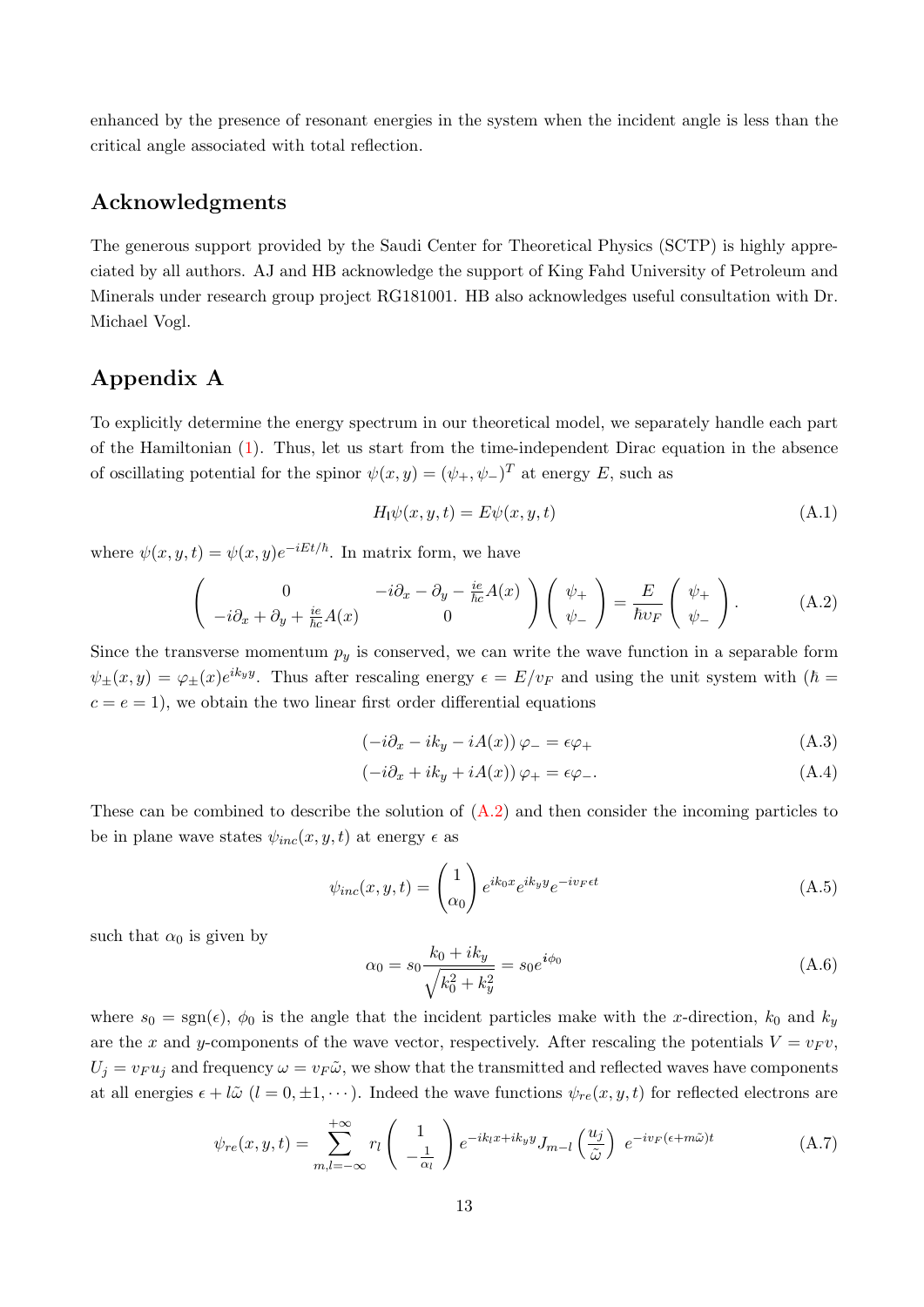enhanced by the presence of resonant energies in the system when the incident angle is less than the critical angle associated with total reflection.

## Acknowledgments

The generous support provided by the Saudi Center for Theoretical Physics (SCTP) is highly appreciated by all authors. AJ and HB acknowledge the support of King Fahd University of Petroleum and Minerals under research group project RG181001. HB also acknowledges useful consultation with Dr. Michael Vogl.

# <span id="page-13-0"></span>Appendix A

To explicitly determine the energy spectrum in our theoretical model, we separately handle each part of the Hamiltonian [\(1\)](#page-2-0). Thus, let us start from the time-independent Dirac equation in the absence of oscillating potential for the spinor  $\psi(x, y) = (\psi_+, \psi_-)^T$  at energy E, such as

$$
H_1 \psi(x, y, t) = E \psi(x, y, t)
$$
\n(A.1)

where  $\psi(x, y, t) = \psi(x, y)e^{-iEt/\hbar}$ . In matrix form, we have

<span id="page-13-1"></span>
$$
\begin{pmatrix}\n0 & -i\partial_x - \partial_y - \frac{ie}{\hbar c}A(x) \\
-i\partial_x + \partial_y + \frac{ie}{\hbar c}A(x) & 0\n\end{pmatrix}\n\begin{pmatrix}\n\psi_+ \\
\psi_-\n\end{pmatrix} = \frac{E}{\hbar v_F}\n\begin{pmatrix}\n\psi_+ \\
\psi_-\n\end{pmatrix}.
$$
\n(A.2)

Since the transverse momentum  $p_y$  is conserved, we can write the wave function in a separable form  $\psi_{\pm}(x,y) = \varphi_{\pm}(x)e^{ik_y y}$ . Thus after rescaling energy  $\epsilon = E/v_F$  and using the unit system with  $(\hbar =$  $c = e = 1$ , we obtain the two linear first order differential equations

$$
(-i\partial_x - ik_y - iA(x))\varphi = \epsilon\varphi_+ \tag{A.3}
$$

$$
(-i\partial_x + ik_y + iA(x))\varphi_+ = \epsilon \varphi_-.
$$
\n(A.4)

These can be combined to describe the solution of  $(A.2)$  and then consider the incoming particles to be in plane wave states  $\psi_{inc}(x, y, t)$  at energy  $\epsilon$  as

$$
\psi_{inc}(x, y, t) = \begin{pmatrix} 1 \\ \alpha_0 \end{pmatrix} e^{ik_0x} e^{ik_yy} e^{-iv_F \epsilon t}
$$
\n(A.5)

such that  $\alpha_0$  is given by

$$
\alpha_0 = s_0 \frac{k_0 + ik_y}{\sqrt{k_0^2 + k_y^2}} = s_0 e^{i\phi_0}
$$
\n(A.6)

where  $s_0 = \text{sgn}(\epsilon)$ ,  $\phi_0$  is the angle that the incident particles make with the x-direction,  $k_0$  and  $k_y$ are the x and y-components of the wave vector, respectively. After rescaling the potentials  $V = v_F v$ ,  $U_i = v_F u_i$  and frequency  $\omega = v_F \tilde{\omega}$ , we show that the transmitted and reflected waves have components at all energies  $\epsilon + l\tilde{\omega}$   $(l = 0, \pm 1, \cdots)$ . Indeed the wave functions  $\psi_{re}(x, y, t)$  for reflected electrons are

$$
\psi_{re}(x, y, t) = \sum_{m,l=-\infty}^{+\infty} r_l \begin{pmatrix} 1 \\ -\frac{1}{\alpha_l} \end{pmatrix} e^{-ik_l x + ik_y y} J_{m-l} \left(\frac{u_j}{\tilde{\omega}}\right) e^{-iv_F(\epsilon + m\tilde{\omega})t}
$$
(A.7)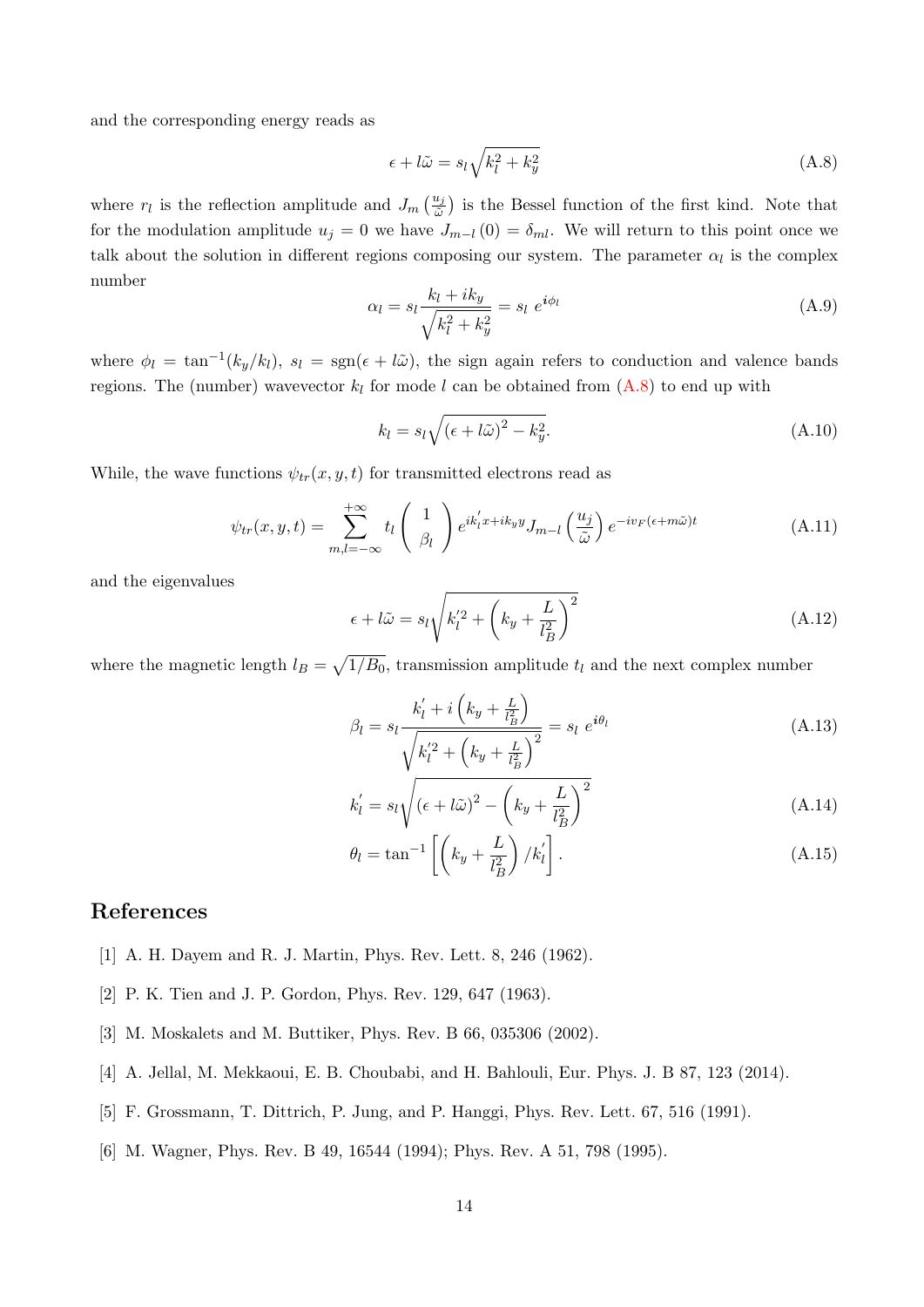and the corresponding energy reads as

<span id="page-14-6"></span>
$$
\epsilon + l\tilde{\omega} = s_l \sqrt{k_l^2 + k_y^2} \tag{A.8}
$$

where  $r_l$  is the reflection amplitude and  $J_m\left(\frac{u_j}{\tilde{\omega}}\right)$  is the Bessel function of the first kind. Note that for the modulation amplitude  $u_j = 0$  we have  $J_{m-l} (0) = \delta_{ml}$ . We will return to this point once we talk about the solution in different regions composing our system. The parameter  $\alpha_l$  is the complex number

$$
\alpha_l = s_l \frac{k_l + ik_y}{\sqrt{k_l^2 + k_y^2}} = s_l e^{i\phi_l}
$$
\n(A.9)

where  $\phi_l = \tan^{-1}(k_y/k_l)$ ,  $s_l = \text{sgn}(\epsilon + l\tilde{\omega})$ , the sign again refers to conduction and valence bands regions. The (number) wavevector  $k_l$  for mode l can be obtained from  $(A.8)$  to end up with

$$
k_l = s_l \sqrt{(\epsilon + l\tilde{\omega})^2 - k_y^2}.
$$
\n(A.10)

While, the wave functions  $\psi_{tr}(x, y, t)$  for transmitted electrons read as

$$
\psi_{tr}(x, y, t) = \sum_{m,l=-\infty}^{+\infty} t_l \begin{pmatrix} 1 \\ \beta_l \end{pmatrix} e^{ik_l' x + ik_y y} J_{m-l} \left(\frac{u_j}{\tilde{\omega}}\right) e^{-iv_F(\epsilon + m\tilde{\omega})t}
$$
(A.11)

and the eigenvalues

$$
\epsilon + l\tilde{\omega} = s_l \sqrt{k_l'^2 + \left(k_y + \frac{L}{l_B^2}\right)^2} \tag{A.12}
$$

where the magnetic length  $l_B = \sqrt{1/B_0}$ , transmission amplitude  $t_l$  and the next complex number

$$
\beta_l = s_l \frac{k'_l + i\left(k_y + \frac{L}{l_B^2}\right)}{\sqrt{k'_l{}^2 + \left(k_y + \frac{L}{l_B^2}\right)^2}} = s_l \ e^{i\theta_l} \tag{A.13}
$$

$$
k'_{l} = s_{l} \sqrt{(\epsilon + l\tilde{\omega})^{2} - \left(k_{y} + \frac{L}{l_{B}^{2}}\right)^{2}}
$$
\n(A.14)

$$
\theta_l = \tan^{-1} \left[ \left( k_y + \frac{L}{l_B^2} \right) / k'_l \right]. \tag{A.15}
$$

# References

- <span id="page-14-0"></span>[1] A. H. Dayem and R. J. Martin, Phys. Rev. Lett. 8, 246 (1962).
- <span id="page-14-1"></span>[2] P. K. Tien and J. P. Gordon, Phys. Rev. 129, 647 (1963).
- <span id="page-14-2"></span>[3] M. Moskalets and M. Buttiker, Phys. Rev. B 66, 035306 (2002).
- <span id="page-14-3"></span>[4] A. Jellal, M. Mekkaoui, E. B. Choubabi, and H. Bahlouli, Eur. Phys. J. B 87, 123 (2014).
- <span id="page-14-4"></span>[5] F. Grossmann, T. Dittrich, P. Jung, and P. Hanggi, Phys. Rev. Lett. 67, 516 (1991).
- <span id="page-14-5"></span>[6] M. Wagner, Phys. Rev. B 49, 16544 (1994); Phys. Rev. A 51, 798 (1995).